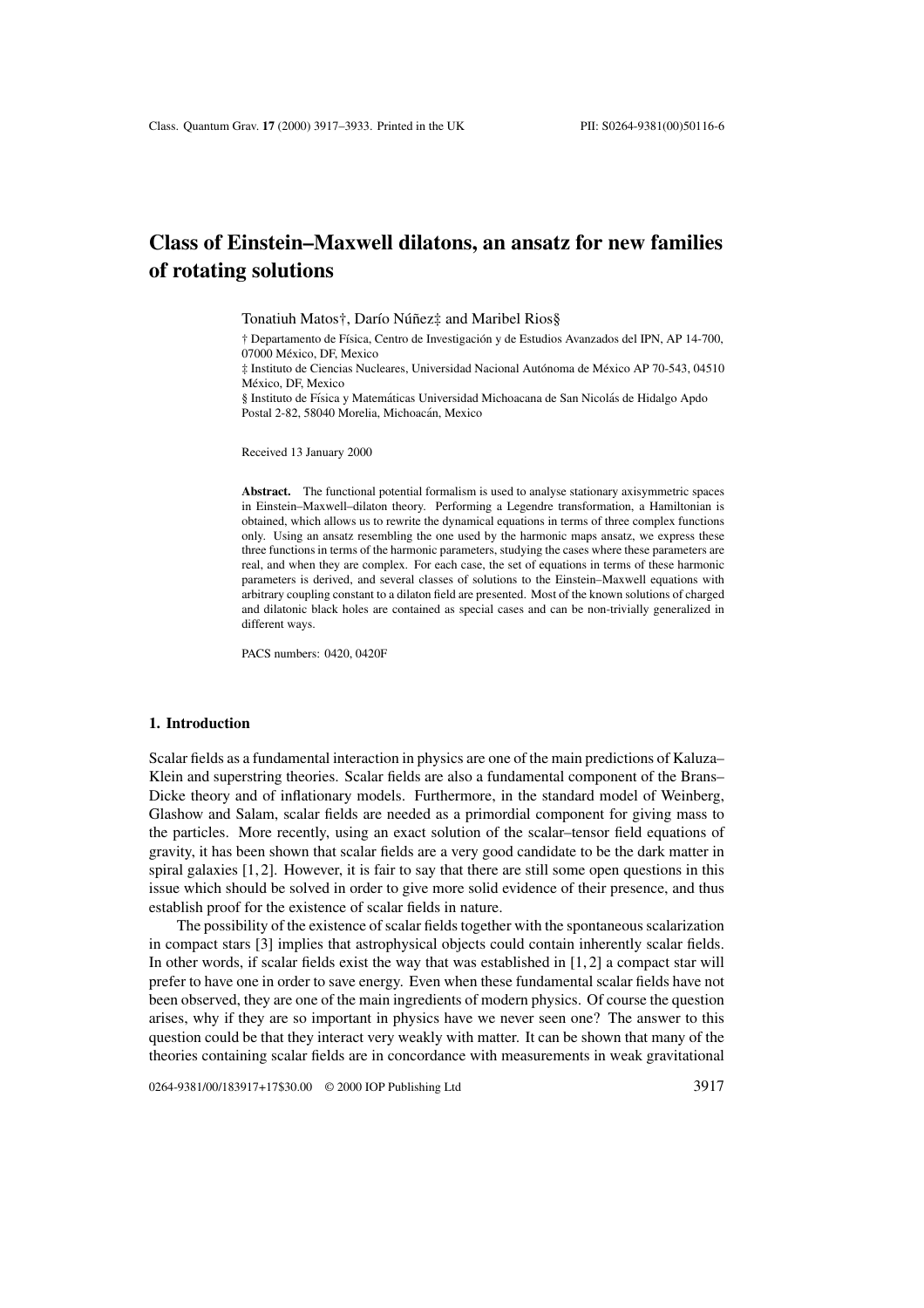# **Class of Einstein–Maxwell dilatons, an ansatz for new families of rotating solutions**

Tonatiuh Matos†, Darío Núñez‡ and Maribel Rios§

† Departamento de F´ısica, Centro de Investigacion y de Estudios Avanzados del IPN, AP 14-700, ´ 07000 Mexico, DF, Mexico ´

 $\ddagger$  Instituto de Ciencias Nucleares, Universidad Nacional Autónoma de México AP 70-543, 04510 México, DE Mexico

§ Instituto de Física y Matemáticas Universidad Michoacana de San Nicolás de Hidalgo Apdo Postal 2-82, 58040 Morelia, Michoacán, Mexico

Received 13 January 2000

**Abstract.** The functional potential formalism is used to analyse stationary axisymmetric spaces in Einstein–Maxwell–dilaton theory. Performing a Legendre transformation, a Hamiltonian is obtained, which allows us to rewrite the dynamical equations in terms of three complex functions only. Using an ansatz resembling the one used by the harmonic maps ansatz, we express these three functions in terms of the harmonic parameters, studying the cases where these parameters are real, and when they are complex. For each case, the set of equations in terms of these harmonic parameters is derived, and several classes of solutions to the Einstein–Maxwell equations with arbitrary coupling constant to a dilaton field are presented. Most of the known solutions of charged and dilatonic black holes are contained as special cases and can be non-trivially generalized in different ways.

PACS numbers: 0420, 0420F

#### **1. Introduction**

Scalar fields as a fundamental interaction in physics are one of the main predictions of Kaluza– Klein and superstring theories. Scalar fields are also a fundamental component of the Brans– Dicke theory and of inflationary models. Furthermore, in the standard model of Weinberg, Glashow and Salam, scalar fields are needed as a primordial component for giving mass to the particles. More recently, using an exact solution of the scalar–tensor field equations of gravity, it has been shown that scalar fields are a very good candidate to be the dark matter in spiral galaxies  $[1, 2]$ . However, it is fair to say that there are still some open questions in this issue which should be solved in order to give more solid evidence of their presence, and thus establish proof for the existence of scalar fields in nature.

The possibility of the existence of scalar fields together with the spontaneous scalarization in compact stars [3] implies that astrophysical objects could contain inherently scalar fields. In other words, if scalar fields exist the way that was established in [1, 2] a compact star will prefer to have one in order to save energy. Even when these fundamental scalar fields have not been observed, they are one of the main ingredients of modern physics. Of course the question arises, why if they are so important in physics have we never seen one? The answer to this question could be that they interact very weakly with matter. It can be shown that many of the theories containing scalar fields are in concordance with measurements in weak gravitational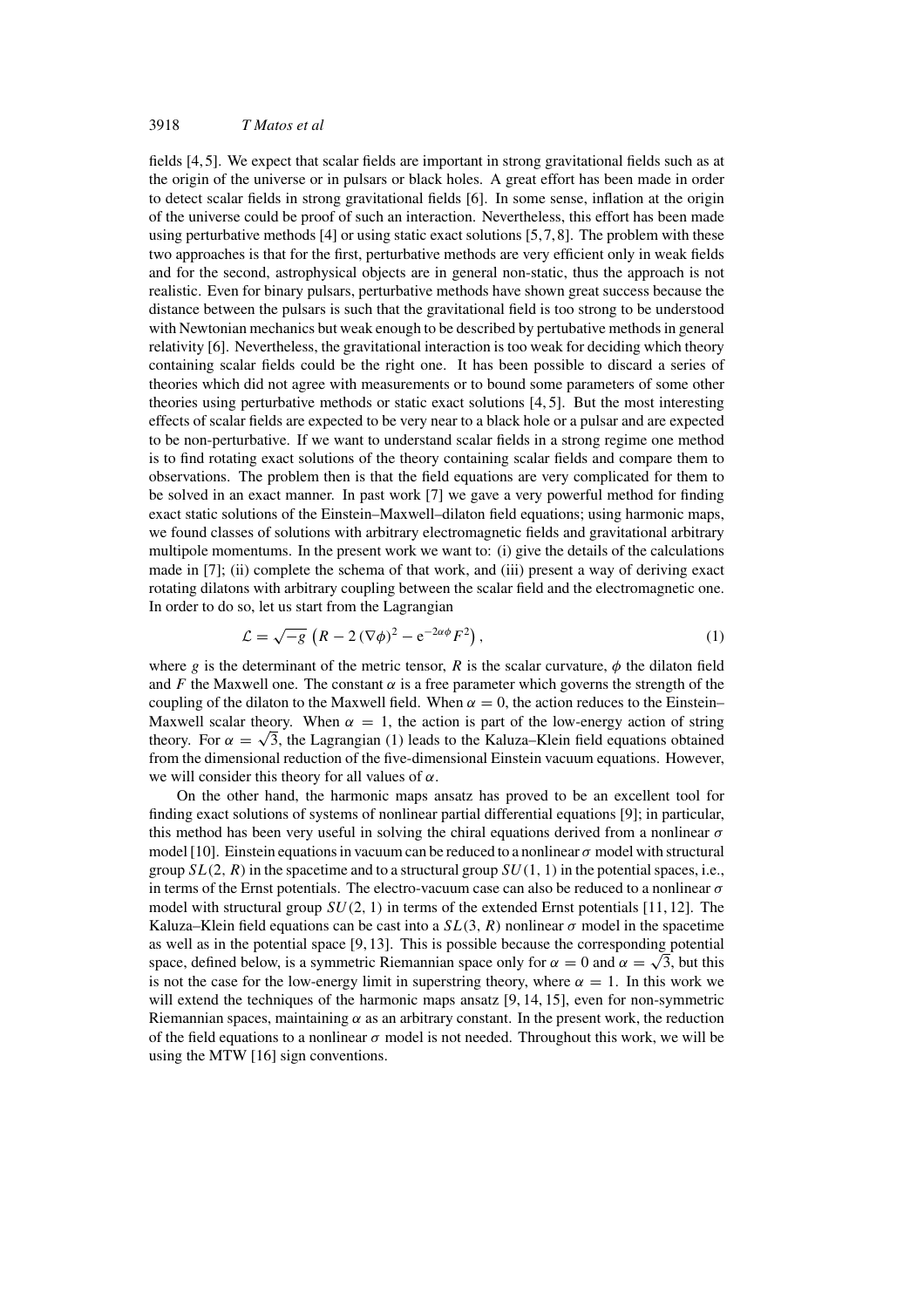fields [4, 5]. We expect that scalar fields are important in strong gravitational fields such as at the origin of the universe or in pulsars or black holes. A great effort has been made in order to detect scalar fields in strong gravitational fields [6]. In some sense, inflation at the origin of the universe could be proof of such an interaction. Nevertheless, this effort has been made using perturbative methods  $[4]$  or using static exact solutions  $[5,7,8]$ . The problem with these two approaches is that for the first, perturbative methods are very efficient only in weak fields and for the second, astrophysical objects are in general non-static, thus the approach is not realistic. Even for binary pulsars, perturbative methods have shown great success because the distance between the pulsars is such that the gravitational field is too strong to be understood with Newtonian mechanics but weak enough to be described by pertubative methods in general relativity [6]. Nevertheless, the gravitational interaction is too weak for deciding which theory containing scalar fields could be the right one. It has been possible to discard a series of theories which did not agree with measurements or to bound some parameters of some other theories using perturbative methods or static exact solutions [4, 5]. But the most interesting effects of scalar fields are expected to be very near to a black hole or a pulsar and are expected to be non-perturbative. If we want to understand scalar fields in a strong regime one method is to find rotating exact solutions of the theory containing scalar fields and compare them to observations. The problem then is that the field equations are very complicated for them to be solved in an exact manner. In past work [7] we gave a very powerful method for finding exact static solutions of the Einstein–Maxwell–dilaton field equations; using harmonic maps, we found classes of solutions with arbitrary electromagnetic fields and gravitational arbitrary multipole momentums. In the present work we want to: (i) give the details of the calculations made in [7]; (ii) complete the schema of that work, and (iii) present a way of deriving exact rotating dilatons with arbitrary coupling between the scalar field and the electromagnetic one. In order to do so, let us start from the Lagrangian

$$
\mathcal{L} = \sqrt{-g} \left( R - 2 \left( \nabla \phi \right)^2 - e^{-2\alpha \phi} F^2 \right), \tag{1}
$$

where g is the determinant of the metric tensor, R is the scalar curvature,  $\phi$  the dilaton field and F the Maxwell one. The constant  $\alpha$  is a free parameter which governs the strength of the coupling of the dilaton to the Maxwell field. When  $\alpha = 0$ , the action reduces to the Einstein– Maxwell scalar theory. When  $\alpha = 1$ , the action is part of the low-energy action of string theory. For  $\alpha = \sqrt{3}$ , the Lagrangian (1) leads to the Kaluza–Klein field equations obtained from the dimensional reduction of the five-dimensional Einstein vacuum equations. However, we will consider this theory for all values of  $\alpha$ .

On the other hand, the harmonic maps ansatz has proved to be an excellent tool for finding exact solutions of systems of nonlinear partial differential equations [9]; in particular, this method has been very useful in solving the chiral equations derived from a nonlinear  $\sigma$ model [10]. Einstein equations in vacuum can be reduced to a nonlinear  $\sigma$  model with structural group  $SL(2, R)$  in the spacetime and to a structural group  $SU(1, 1)$  in the potential spaces, i.e., in terms of the Ernst potentials. The electro-vacuum case can also be reduced to a nonlinear  $\sigma$ model with structural group  $SU(2, 1)$  in terms of the extended Ernst potentials [11, 12]. The Kaluza–Klein field equations can be cast into a  $SL(3, R)$  nonlinear  $\sigma$  model in the spacetime as well as in the potential space [9, 13]. This is possible because the corresponding potential space, defined below, is a symmetric Riemannian space only for  $\alpha = 0$  and  $\alpha = \sqrt{3}$ , but this is not the case for the low-energy limit in superstring theory, where  $\alpha = 1$ . In this work we will extend the techniques of the harmonic maps ansatz [9, 14, 15], even for non-symmetric Riemannian spaces, maintaining  $\alpha$  as an arbitrary constant. In the present work, the reduction of the field equations to a nonlinear  $\sigma$  model is not needed. Throughout this work, we will be using the MTW [16] sign conventions.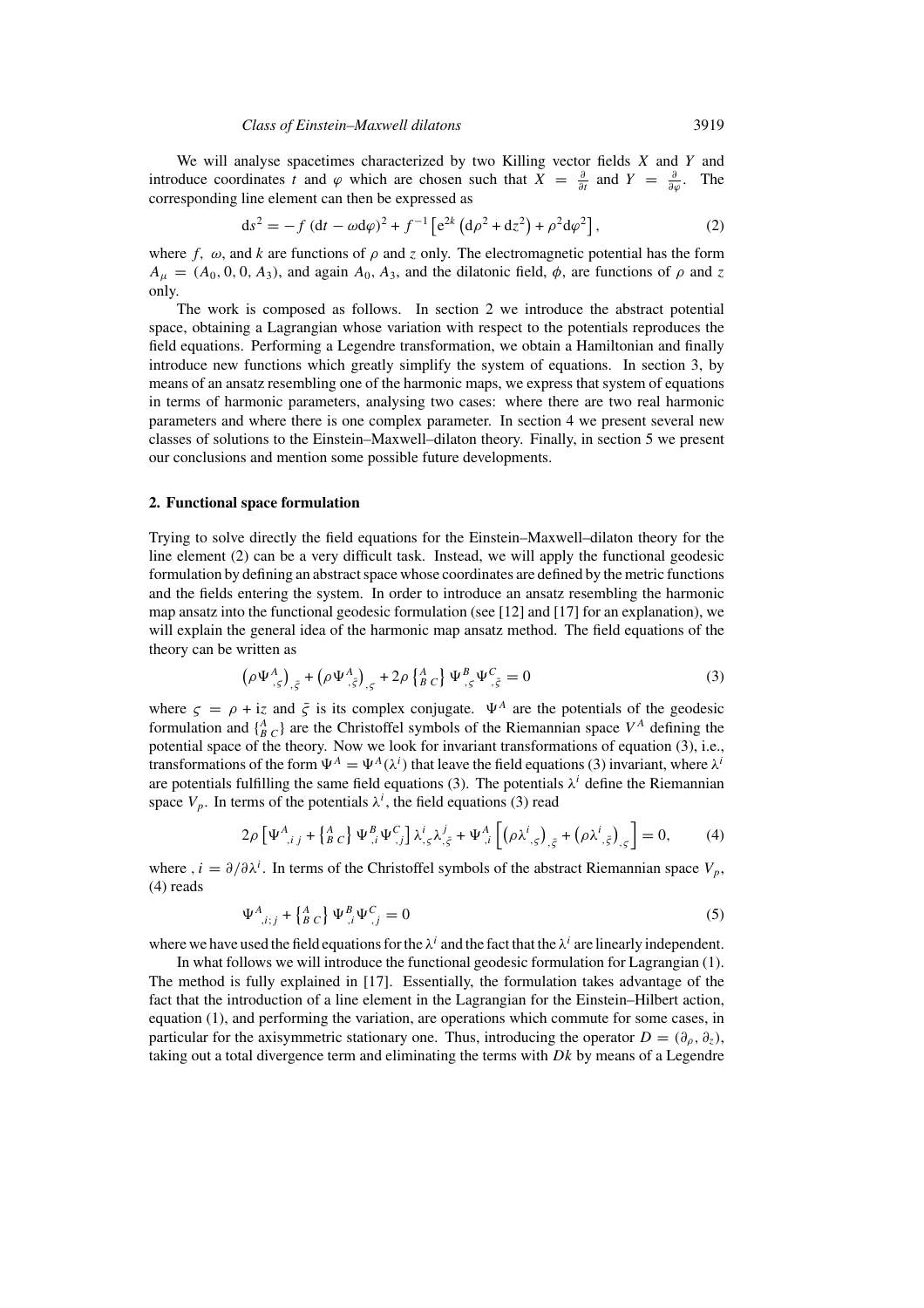We will analyse spacetimes characterized by two Killing vector fields  $X$  and  $Y$  and introduce coordinates t and  $\varphi$  which are chosen such that  $X = \frac{\partial}{\partial t}$  and  $Y = \frac{\partial}{\partial \varphi}$ . The corresponding line element can then be expressed as

$$
ds^{2} = -f (dt - \omega d\varphi)^{2} + f^{-1} \left[ e^{2k} (d\rho^{2} + dz^{2}) + \rho^{2} d\varphi^{2} \right],
$$
 (2)

where f,  $\omega$ , and k are functions of  $\rho$  and z only. The electromagnetic potential has the form  $A_{\mu} = (A_0, 0, 0, A_3)$ , and again  $A_0$ ,  $A_3$ , and the dilatonic field,  $\phi$ , are functions of  $\rho$  and z only.

The work is composed as follows. In section 2 we introduce the abstract potential space, obtaining a Lagrangian whose variation with respect to the potentials reproduces the field equations. Performing a Legendre transformation, we obtain a Hamiltonian and finally introduce new functions which greatly simplify the system of equations. In section 3, by means of an ansatz resembling one of the harmonic maps, we express that system of equations in terms of harmonic parameters, analysing two cases: where there are two real harmonic parameters and where there is one complex parameter. In section 4 we present several new classes of solutions to the Einstein–Maxwell–dilaton theory. Finally, in section 5 we present our conclusions and mention some possible future developments.

## **2. Functional space formulation**

Trying to solve directly the field equations for the Einstein–Maxwell–dilaton theory for the line element (2) can be a very difficult task. Instead, we will apply the functional geodesic formulation by defining an abstract space whose coordinates are defined by the metric functions and the fields entering the system. In order to introduce an ansatz resembling the harmonic map ansatz into the functional geodesic formulation (see [12] and [17] for an explanation), we will explain the general idea of the harmonic map ansatz method. The field equations of the theory can be written as

$$
\left(\rho\Psi_{,\varsigma}^{A}\right)_{,\bar{\varsigma}} + \left(\rho\Psi_{,\bar{\varsigma}}^{A}\right)_{,\varsigma} + 2\rho\left\{ {}_{B}^{A}{}_{C} \right\}\Psi_{,\varsigma}^{B}\Psi_{,\bar{\varsigma}}^{C} = 0
$$
\n(3)

where  $\zeta = \rho + i\zeta$  and  $\bar{\zeta}$  is its complex conjugate.  $\Psi^A$  are the potentials of the geodesic formulation and  $\{^A_{B_C}\}$  are the Christoffel symbols of the Riemannian space  $V^A$  defining the potential space of the theory. Now we look for invariant transformations of equation (3), i.e., transformations of the form  $\Psi^A = \Psi^A(\lambda^i)$  that leave the field equations (3) invariant, where  $\lambda^i$ are potentials fulfilling the same field equations (3). The potentials  $\lambda^{i}$  define the Riemannian space  $V_p$ . In terms of the potentials  $\lambda^i$ , the field equations (3) read

$$
2\rho \left[ \Psi_{,i\,j}^{A} + \left\{ \frac{A}{B} \, C \right\} \Psi_{,i}^{B} \Psi_{,j}^{C} \right] \lambda_{,S}^{i} \lambda_{,\bar{S}}^{j} + \Psi_{,i}^{A} \left[ \left( \rho \lambda_{,S}^{i} \right)_{,\bar{S}} + \left( \rho \lambda_{,,\bar{S}}^{i} \right)_{,S} \right] = 0, \tag{4}
$$

where ,  $i = \partial/\partial \lambda^i$ . In terms of the Christoffel symbols of the abstract Riemannian space  $V_p$ , (4) reads

$$
\Psi_{j,i,j}^{A} + \left\{ \begin{matrix} A \\ B \end{matrix} C \right\} \Psi_{j,i}^{B} \Psi_{j,j}^{C} = 0 \tag{5}
$$

where we have used the field equations for the  $\lambda^{i}$  and the fact that the  $\lambda^{i}$  are linearly independent.

In what follows we will introduce the functional geodesic formulation for Lagrangian (1). The method is fully explained in [17]. Essentially, the formulation takes advantage of the fact that the introduction of a line element in the Lagrangian for the Einstein–Hilbert action, equation (1), and performing the variation, are operations which commute for some cases, in particular for the axisymmetric stationary one. Thus, introducing the operator  $D = (\partial_{\rho}, \partial_{\bar{z}})$ , taking out a total divergence term and eliminating the terms with  $Dk$  by means of a Legendre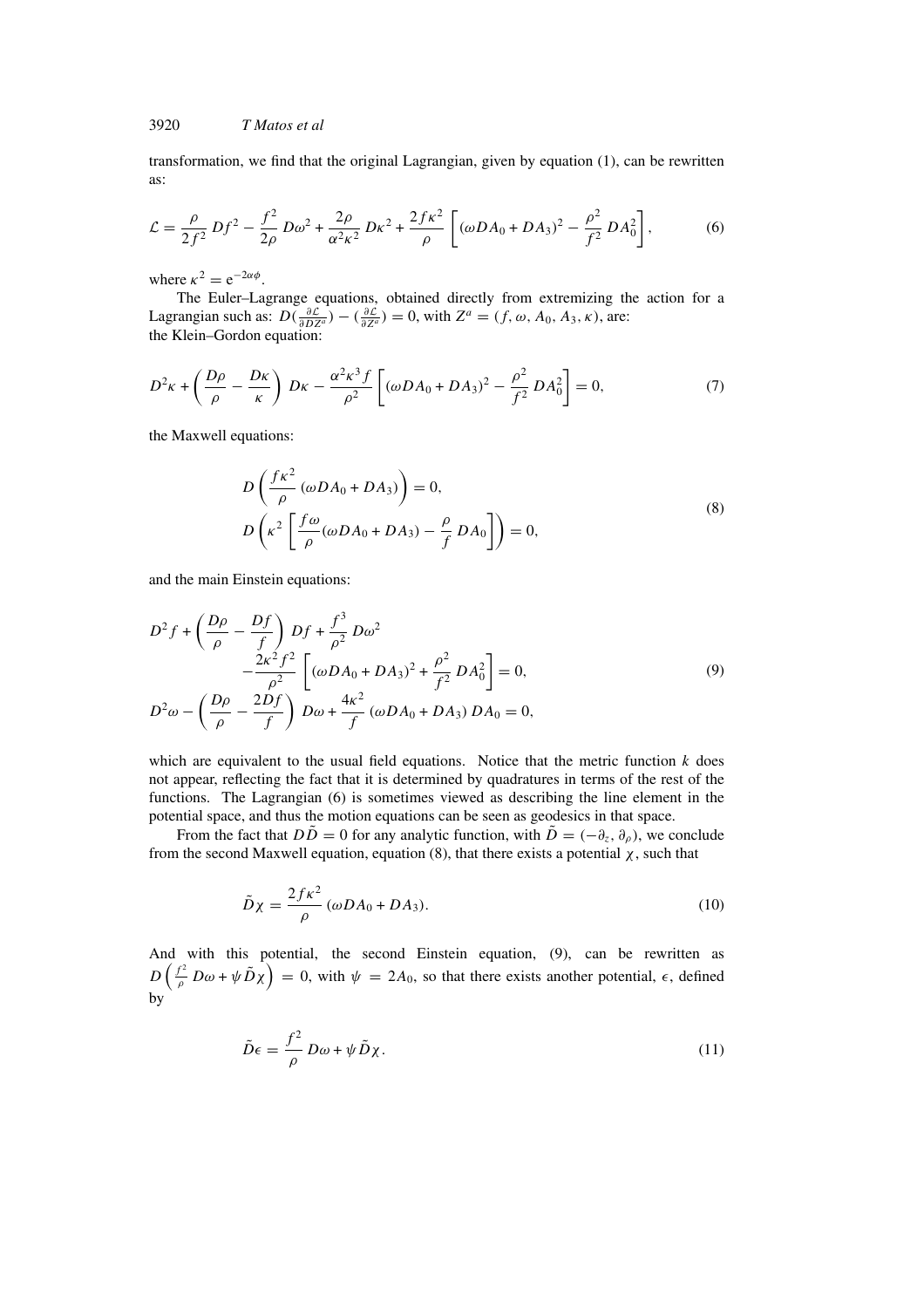transformation, we find that the original Lagrangian, given by equation (1), can be rewritten as:

$$
\mathcal{L} = \frac{\rho}{2f^2} Df^2 - \frac{f^2}{2\rho} D\omega^2 + \frac{2\rho}{\alpha^2 \kappa^2} D\kappa^2 + \frac{2f\kappa^2}{\rho} \left[ (\omega D A_0 + D A_3)^2 - \frac{\rho^2}{f^2} D A_0^2 \right],
$$
 (6)

where  $\kappa^2 = e^{-2\alpha \phi}$ .

The Euler–Lagrange equations, obtained directly from extremizing the action for a Lagrangian such as:  $D(\frac{\partial \mathcal{L}}{\partial DZ^a}) - (\frac{\partial \mathcal{L}}{\partial Z^a}) = 0$ , with  $Z^a = (f, \omega, A_0, A_3, \kappa)$ , are: the Klein–Gordon equation:

$$
D^{2}\kappa + \left(\frac{D\rho}{\rho} - \frac{D\kappa}{\kappa}\right)D\kappa - \frac{\alpha^{2}\kappa^{3}f}{\rho^{2}}\left[ (\omega DA_{0} + DA_{3})^{2} - \frac{\rho^{2}}{f^{2}}DA_{0}^{2} \right] = 0, \tag{7}
$$

the Maxwell equations:

$$
D\left(\frac{f\kappa^2}{\rho}(\omega DA_0 + DA_3)\right) = 0,
$$
  
\n
$$
D\left(\kappa^2 \left[\frac{f\omega}{\rho}(\omega DA_0 + DA_3) - \frac{\rho}{f} DA_0\right]\right) = 0,
$$
\n(8)

and the main Einstein equations:

$$
D^{2} f + \left(\frac{D\rho}{\rho} - \frac{Df}{f}\right) Df + \frac{f^{3}}{\rho^{2}} D\omega^{2}
$$
  

$$
- \frac{2\kappa^{2} f^{2}}{\rho^{2}} \left[ (\omega D A_{0} + D A_{3})^{2} + \frac{\rho^{2}}{f^{2}} D A_{0}^{2} \right] = 0,
$$
  

$$
D^{2} \omega - \left(\frac{D\rho}{\rho} - \frac{2Df}{f}\right) D\omega + \frac{4\kappa^{2}}{f} (\omega D A_{0} + D A_{3}) D A_{0} = 0,
$$
 (9)

which are equivalent to the usual field equations. Notice that the metric function  $k$  does not appear, reflecting the fact that it is determined by quadratures in terms of the rest of the functions. The Lagrangian (6) is sometimes viewed as describing the line element in the potential space, and thus the motion equations can be seen as geodesics in that space.

From the fact that  $D\tilde{D} = 0$  for any analytic function, with  $\tilde{D} = (-\partial_z, \partial_{\rho})$ , we conclude from the second Maxwell equation, equation (8), that there exists a potential  $\chi$ , such that

$$
\tilde{D}\chi = \frac{2f\kappa^2}{\rho} (\omega DA_0 + DA_3). \tag{10}
$$

And with this potential, the second Einstein equation, (9), can be rewritten as  $D\left(\frac{f^2}{\rho}D\omega+\psi\tilde{D}\chi\right)=0$ , with  $\psi=2A_0$ , so that there exists another potential,  $\epsilon$ , defined by

$$
\tilde{D}\epsilon = \frac{f^2}{\rho} D\omega + \psi \tilde{D}\chi. \tag{11}
$$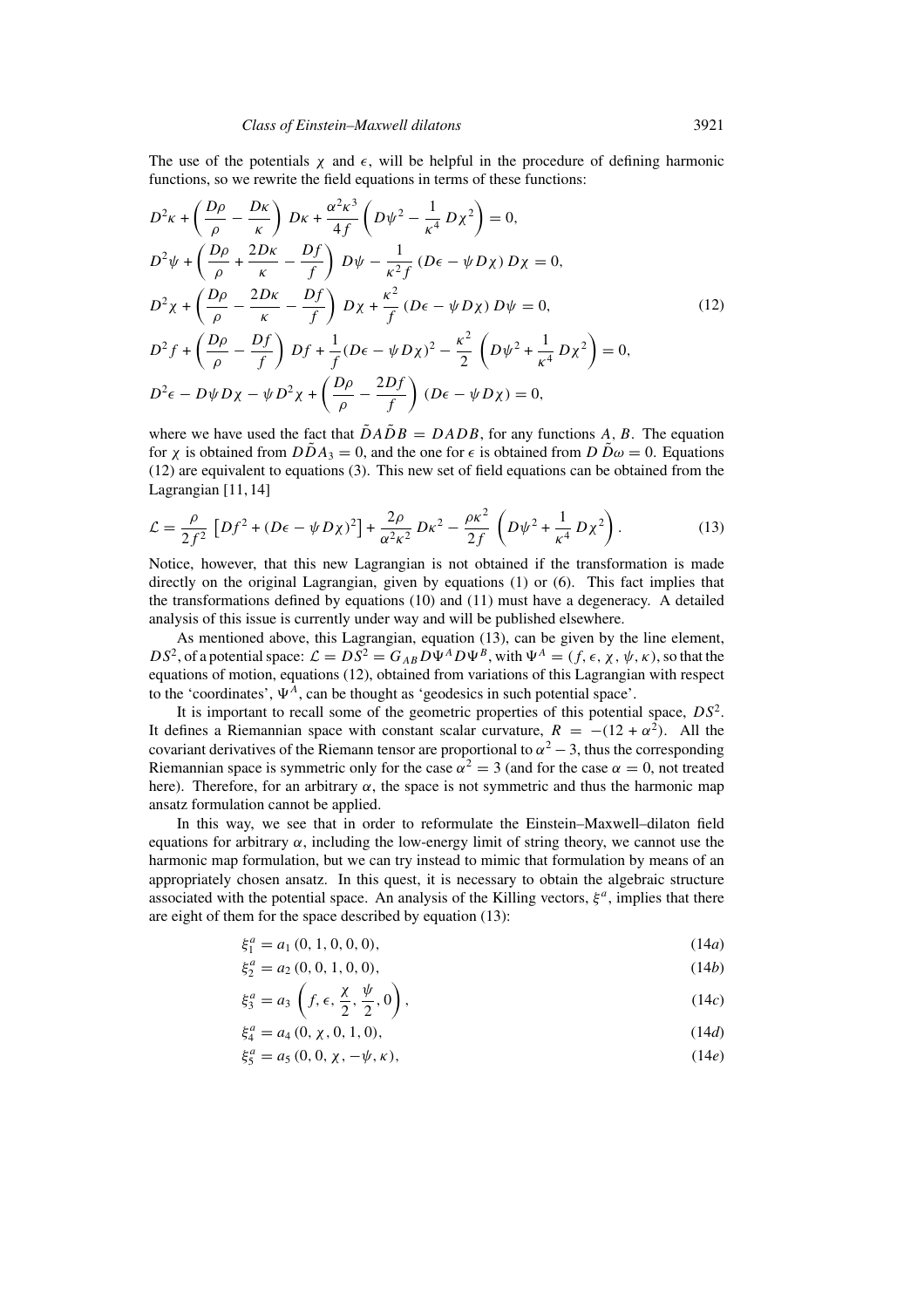The use of the potentials  $\chi$  and  $\epsilon$ , will be helpful in the procedure of defining harmonic functions, so we rewrite the field equations in terms of these functions:

$$
D^{2}\kappa + \left(\frac{D\rho}{\rho} - \frac{D\kappa}{\kappa}\right)D\kappa + \frac{\alpha^{2}\kappa^{3}}{4f}\left(D\psi^{2} - \frac{1}{\kappa^{4}}D\chi^{2}\right) = 0,
$$
  
\n
$$
D^{2}\psi + \left(\frac{D\rho}{\rho} + \frac{2D\kappa}{\kappa} - \frac{Df}{f}\right)D\psi - \frac{1}{\kappa^{2}f}(D\epsilon - \psi D\chi)D\chi = 0,
$$
  
\n
$$
D^{2}\chi + \left(\frac{D\rho}{\rho} - \frac{2D\kappa}{\kappa} - \frac{Df}{f}\right)D\chi + \frac{\kappa^{2}}{f}(D\epsilon - \psi D\chi)D\psi = 0,
$$
  
\n
$$
D^{2}f + \left(\frac{D\rho}{\rho} - \frac{Df}{f}\right)Df + \frac{1}{f}(D\epsilon - \psi D\chi)^{2} - \frac{\kappa^{2}}{2}\left(D\psi^{2} + \frac{1}{\kappa^{4}}D\chi^{2}\right) = 0,
$$
  
\n
$$
D^{2}\epsilon - D\psi D\chi - \psi D^{2}\chi + \left(\frac{D\rho}{\rho} - \frac{2Df}{f}\right)(D\epsilon - \psi D\chi) = 0,
$$
  
\n(12)

where we have used the fact that  $\tilde{D}A\tilde{D}B = DADB$ , for any functions A, B. The equation for x is obtained from  $D\tilde{D}A_3 = 0$ , and the one for  $\epsilon$  is obtained from  $D\tilde{D}\omega = 0$ . Equations (12) are equivalent to equations (3). This new set of field equations can be obtained from the Lagrangian [11, 14]

$$
\mathcal{L} = \frac{\rho}{2f^2} \left[ Df^2 + (D\epsilon - \psi D\chi)^2 \right] + \frac{2\rho}{\alpha^2 \kappa^2} D\kappa^2 - \frac{\rho \kappa^2}{2f} \left( D\psi^2 + \frac{1}{\kappa^4} D\chi^2 \right). \tag{13}
$$

Notice, however, that this new Lagrangian is not obtained if the transformation is made directly on the original Lagrangian, given by equations (1) or (6). This fact implies that the transformations defined by equations (10) and (11) must have a degeneracy. A detailed analysis of this issue is currently under way and will be published elsewhere.

As mentioned above, this Lagrangian, equation (13), can be given by the line element,  $DS^2$ , of a potential space:  $\mathcal{L} = DS^2 = G_{AB}D\Psi^A D\Psi^B$ , with  $\Psi^A = (f, \epsilon, \chi, \psi, \kappa)$ , so that the equations of motion, equations (12), obtained from variations of this Lagrangian with respect to the 'coordinates',  $\Psi^A$ , can be thought as 'geodesics in such potential space'.

It is important to recall some of the geometric properties of this potential space,  $DS^2$ . It defines a Riemannian space with constant scalar curvature,  $R = -(12 + \alpha^2)$ . All the covariant derivatives of the Riemann tensor are proportional to  $\alpha^2 - 3$ , thus the corresponding Riemannian space is symmetric only for the case  $\alpha^2 = 3$  (and for the case  $\alpha = 0$ , not treated here). Therefore, for an arbitrary  $\alpha$ , the space is not symmetric and thus the harmonic map ansatz formulation cannot be applied.

In this way, we see that in order to reformulate the Einstein–Maxwell–dilaton field equations for arbitrary  $\alpha$ , including the low-energy limit of string theory, we cannot use the harmonic map formulation, but we can try instead to mimic that formulation by means of an appropriately chosen ansatz. In this quest, it is necessary to obtain the algebraic structure associated with the potential space. An analysis of the Killing vectors,  $\xi^a$ , implies that there are eight of them for the space described by equation (13):

$$
\xi_1^a = a_1(0, 1, 0, 0, 0),\tag{14a}
$$

$$
\xi_2^a = a_2(0, 0, 1, 0, 0),\tag{14b}
$$

$$
\xi_3^a = a_3 \left( f, \epsilon, \frac{\chi}{2}, \frac{\psi}{2}, 0 \right), \tag{14c}
$$

$$
\xi_4^a = a_4 (0, \chi, 0, 1, 0), \tag{14d}
$$

$$
\xi_5^a = a_5(0, 0, \chi, -\psi, \kappa), \tag{14e}
$$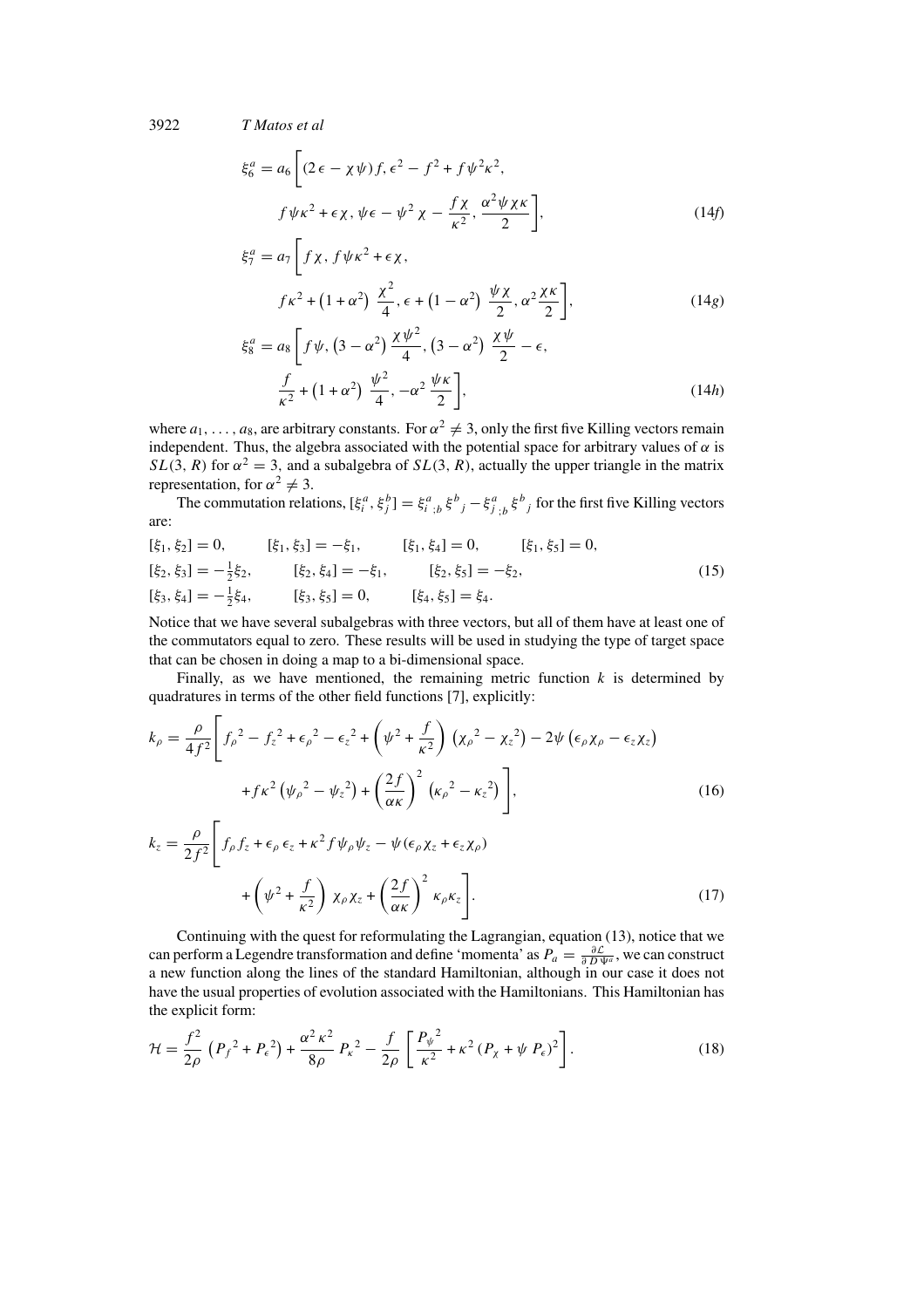$$
\xi_6^a = a_6 \left[ (2\epsilon - \chi\psi) f, \epsilon^2 - f^2 + f\psi^2 \kappa^2, \nf\psi \kappa^2 + \epsilon \chi, \psi \epsilon - \psi^2 \chi - \frac{f\chi}{\kappa^2}, \frac{\alpha^2 \psi \chi \kappa}{2} \right],
$$
\n(14f)

$$
\xi_7^a = a_7 \left[ f \chi, f \psi \kappa^2 + \epsilon \chi, \right.
$$
  

$$
f \kappa^2 + (1 + \alpha^2) \frac{\chi^2}{4}, \epsilon + (1 - \alpha^2) \frac{\psi \chi}{2}, \alpha^2 \frac{\chi \kappa}{2} \right],
$$
 (14g)

$$
\xi_8^a = a_8 \left[ f \psi, \left( 3 - \alpha^2 \right) \frac{\chi \psi^2}{4}, \left( 3 - \alpha^2 \right) \frac{\chi \psi}{2} - \epsilon, \frac{f}{\kappa^2} + \left( 1 + \alpha^2 \right) \frac{\psi^2}{4}, -\alpha^2 \frac{\psi \kappa}{2} \right],
$$
\n(14*h*)

where  $a_1, \ldots, a_8$ , are arbitrary constants. For  $\alpha^2 \neq 3$ , only the first five Killing vectors remain independent. Thus, the algebra associated with the potential space for arbitrary values of  $\alpha$  is  $SL(3, R)$  for  $\alpha^2 = 3$ , and a subalgebra of  $SL(3, R)$ , actually the upper triangle in the matrix representation, for  $\alpha^2 \neq 3$ .

The commutation relations,  $[\xi_i^a, \xi_j^b] = \xi_{i,j}^a, \xi_{j}^b - \xi_{j,j}^a, \xi_{j}^b$  for the first five Killing vectors are:

$$
[\xi_1, \xi_2] = 0, \qquad [\xi_1, \xi_3] = -\xi_1, \qquad [\xi_1, \xi_4] = 0, \qquad [\xi_1, \xi_5] = 0, [\xi_2, \xi_3] = -\frac{1}{2}\xi_2, \qquad [\xi_2, \xi_4] = -\xi_1, \qquad [\xi_2, \xi_5] = -\xi_2, [\xi_3, \xi_4] = -\frac{1}{2}\xi_4, \qquad [\xi_3, \xi_5] = 0, \qquad [\xi_4, \xi_5] = \xi_4.
$$
 (15)

Notice that we have several subalgebras with three vectors, but all of them have at least one of the commutators equal to zero. These results will be used in studying the type of target space that can be chosen in doing a map to a bi-dimensional space.

Finally, as we have mentioned, the remaining metric function  $k$  is determined by quadratures in terms of the other field functions [7], explicitly:

$$
k_{\rho} = \frac{\rho}{4f^2} \left[ f_{\rho}^2 - f_{z}^2 + \epsilon_{\rho}^2 - \epsilon_{z}^2 + \left( \psi^2 + \frac{f}{\kappa^2} \right) \left( \chi_{\rho}^2 - \chi_{z}^2 \right) - 2\psi \left( \epsilon_{\rho} \chi_{\rho} - \epsilon_{z} \chi_{z} \right) \right. \\ \left. + f \kappa^2 \left( \psi_{\rho}^2 - \psi_{z}^2 \right) + \left( \frac{2f}{\alpha \kappa} \right)^2 \left( \kappa_{\rho}^2 - \kappa_{z}^2 \right) \right], \tag{16}
$$

$$
k_{z} = \frac{\rho}{2f^{2}} \left[ f_{\rho} f_{z} + \epsilon_{\rho} \epsilon_{z} + \kappa^{2} f \psi_{\rho} \psi_{z} - \psi (\epsilon_{\rho} \chi_{z} + \epsilon_{z} \chi_{\rho}) + \left( \psi^{2} + \frac{f}{\kappa^{2}} \right) \chi_{\rho} \chi_{z} + \left( \frac{2f}{\alpha \kappa} \right)^{2} \kappa_{\rho} \kappa_{z} \right].
$$
\n(17)

Continuing with the quest for reformulating the Lagrangian, equation (13), notice that we can perform a Legendre transformation and define 'momenta' as  $P_a = \frac{\partial \mathcal{L}}{\partial D \Psi^a}$ , we can construct a new function along the lines of the standard Hamiltonian, although in our case it does not have the usual properties of evolution associated with the Hamiltonians. This Hamiltonian has the explicit form:

$$
\mathcal{H} = \frac{f^2}{2\rho} \left( P_f^2 + P_\epsilon^2 \right) + \frac{\alpha^2 \kappa^2}{8\rho} P_\kappa^2 - \frac{f}{2\rho} \left[ \frac{P_\psi^2}{\kappa^2} + \kappa^2 (P_\chi + \psi P_\epsilon)^2 \right]. \tag{18}
$$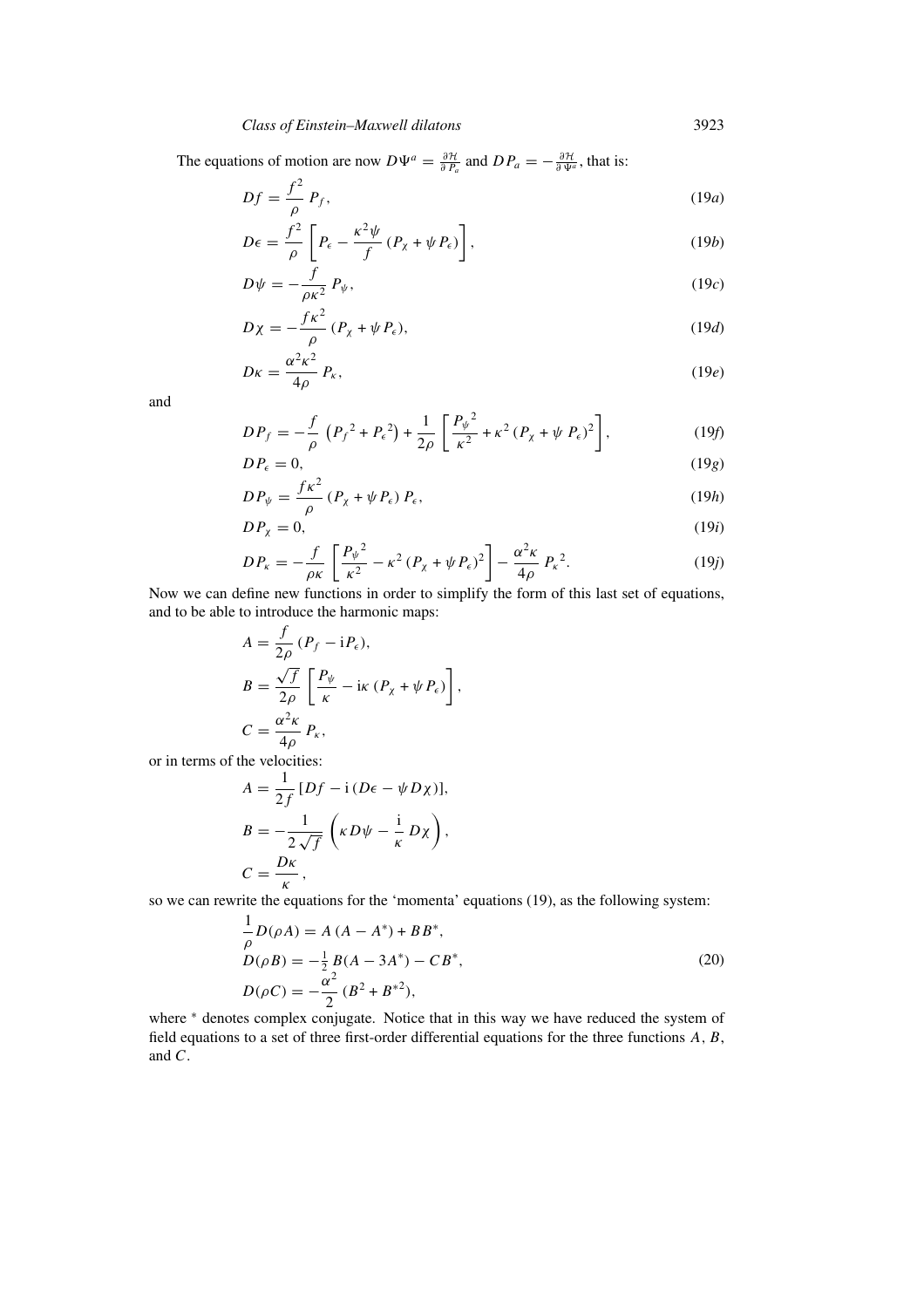The equations of motion are now  $D\Psi^a = \frac{\partial \mathcal{H}}{\partial P_a}$  and  $D P_a = -\frac{\partial \mathcal{H}}{\partial \Psi^a}$ , that is:

$$
Df = \frac{f^2}{\rho} P_f,\tag{19a}
$$

$$
D\epsilon = \frac{f^2}{\rho} \left[ P_{\epsilon} - \frac{\kappa^2 \psi}{f} (P_{\chi} + \psi P_{\epsilon}) \right],
$$
 (19b)

$$
D\psi = -\frac{f}{\rho \kappa^2} P_{\psi},\tag{19c}
$$

$$
D\chi = -\frac{f\kappa^2}{\rho} (P_\chi + \psi P_\epsilon),\tag{19d}
$$

$$
D\kappa = \frac{\alpha^2 \kappa^2}{4\rho} P_{\kappa},\tag{19e}
$$

and

$$
DP_f = -\frac{f}{\rho} \left( P_f^2 + P_\epsilon^2 \right) + \frac{1}{2\rho} \left[ \frac{P_\psi^2}{\kappa^2} + \kappa^2 (P_\chi + \psi P_\epsilon)^2 \right],\tag{19f}
$$

$$
DP_{\epsilon} = 0,\tag{19g}
$$

$$
DP_{\psi} = \frac{f\kappa^2}{\rho} (P_{\chi} + \psi P_{\epsilon}) P_{\epsilon},
$$
\n(19*h*)

$$
DP_{\chi} = 0,\tag{19i}
$$

$$
DP_{\kappa} = -\frac{f}{\rho \kappa} \left[ \frac{P_{\psi}^2}{\kappa^2} - \kappa^2 (P_{\chi} + \psi P_{\epsilon})^2 \right] - \frac{\alpha^2 \kappa}{4\rho} P_{\kappa}^2. \tag{19}
$$

Now we can define new functions in order to simplify the form of this last set of equations, and to be able to introduce the harmonic maps:

$$
A = \frac{f}{2\rho} (P_f - iP_\epsilon),
$$
  
\n
$$
B = \frac{\sqrt{f}}{2\rho} \left[ \frac{P_\psi}{\kappa} - i\kappa (P_\chi + \psi P_\epsilon) \right],
$$
  
\n
$$
C = \frac{\alpha^2 \kappa}{4\rho} P_\kappa,
$$

or in terms of the velocities:

$$
A = \frac{1}{2f} [Df - i(D\epsilon - \psi D\chi)],
$$
  
\n
$$
B = -\frac{1}{2\sqrt{f}} \left( \kappa D\psi - \frac{i}{\kappa} D\chi \right),
$$
  
\n
$$
C = \frac{D\kappa}{\kappa},
$$

so we can rewrite the equations for the 'momenta' equations (19), as the following system:

$$
\frac{1}{\rho}D(\rho A) = A (A - A^*) + BB^*,
$$
  
\n
$$
D(\rho B) = -\frac{1}{2}B(A - 3A^*) - CB^*,
$$
  
\n
$$
D(\rho C) = -\frac{\alpha^2}{2}(B^2 + B^{*2}),
$$
\n(20)

where <sup>\*</sup> denotes complex conjugate. Notice that in this way we have reduced the system of field equations to a set of three first-order differential equations for the three functions A, B, and C.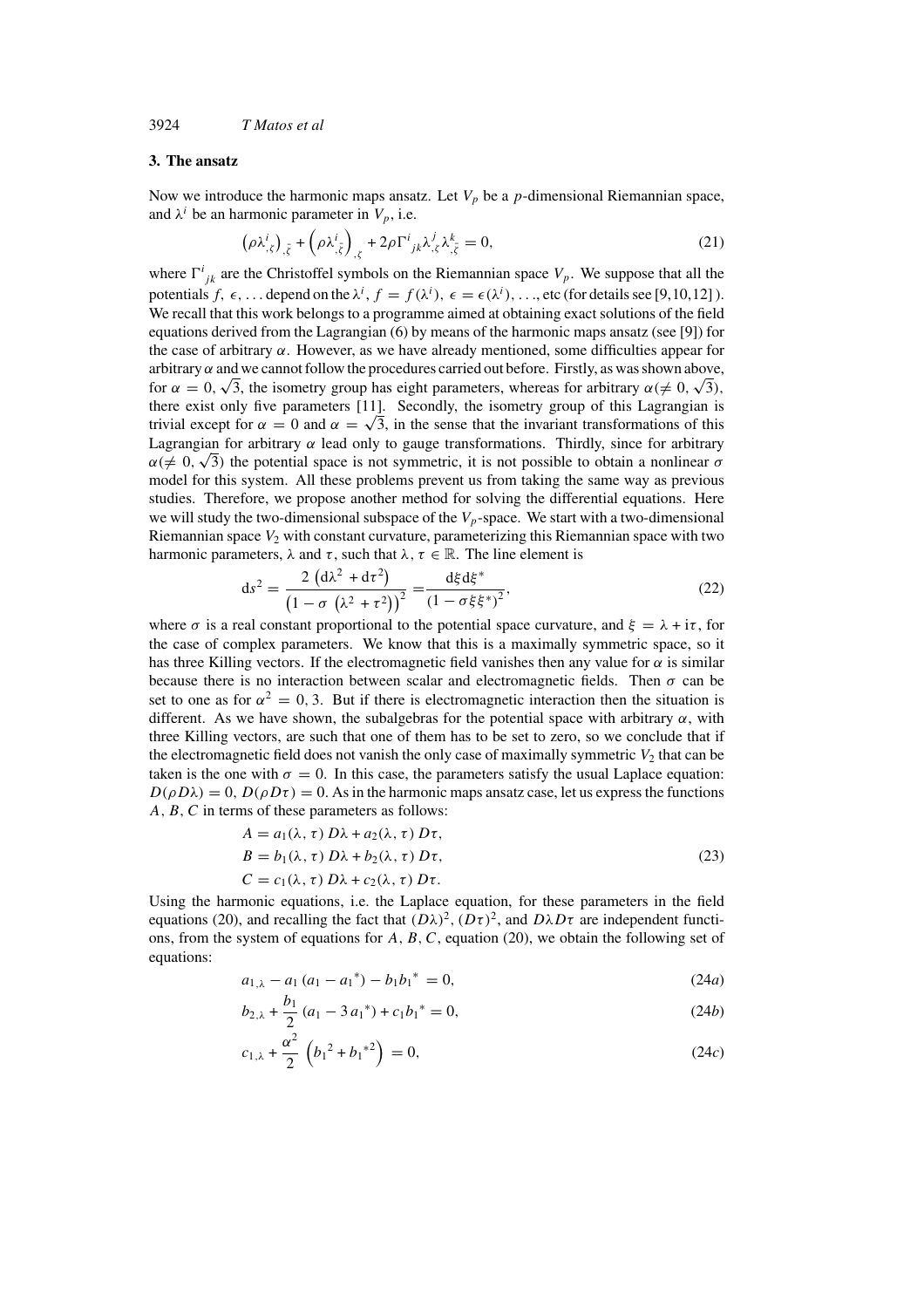## **3. The ansatz**

Now we introduce the harmonic maps ansatz. Let  $V_p$  be a p-dimensional Riemannian space, and  $\lambda^i$  be an harmonic parameter in  $V_p$ , i.e.

$$
\left(\rho \lambda_{,\zeta}^{i}\right)_{,\bar{\zeta}} + \left(\rho \lambda_{,\bar{\zeta}}^{i}\right)_{,\zeta} + 2\rho \Gamma^{i}{}_{jk} \lambda_{,\zeta}^{j} \lambda_{,\bar{\zeta}}^{k} = 0, \tag{21}
$$

where  $\Gamma^{i}_{jk}$  are the Christoffel symbols on the Riemannian space  $V_p$ . We suppose that all the potentials  $f, \epsilon, \ldots$  depend on the  $\lambda^i, f = f(\lambda^i), \epsilon = \epsilon(\lambda^i), \ldots$ , etc (for details see [9,10,12]). We recall that this work belongs to a programme aimed at obtaining exact solutions of the field equations derived from the Lagrangian (6) by means of the harmonic maps ansatz (see [9]) for the case of arbitrary  $\alpha$ . However, as we have already mentioned, some difficulties appear for arbitrary  $\alpha$  and we cannot follow the procedures carried out before. Firstly, as was shown above, arbitrary  $\alpha$  and we cannot follow the procedures carried out before. Firstly, as was shown above,<br>for  $\alpha = 0, \sqrt{3}$ , the isometry group has eight parameters, whereas for arbitrary  $\alpha (\neq 0, \sqrt{3})$ , there exist only five parameters [11]. Secondly, the isometry group of this Lagrangian is trivial except for  $\alpha = 0$  and  $\alpha = \sqrt{3}$ , in the sense that the invariant transformations of this Lagrangian for arbitrary  $\alpha$  lead only to gauge transformations. Thirdly, since for arbitrary Lagrangian for arbitrary α lead only to gauge transformations. Thirdly, since for arbitrary  $\alpha$  ( $\neq$  0,  $\sqrt{3}$ ) the potential space is not symmetric, it is not possible to obtain a nonlinear  $\sigma$ model for this system. All these problems prevent us from taking the same way as previous studies. Therefore, we propose another method for solving the differential equations. Here we will study the two-dimensional subspace of the  $V_p$ -space. We start with a two-dimensional Riemannian space  $V_2$  with constant curvature, parameterizing this Riemannian space with two harmonic parameters,  $\lambda$  and  $\tau$ , such that  $\lambda$ ,  $\tau \in \mathbb{R}$ . The line element is

$$
ds^{2} = \frac{2\left(d\lambda^{2} + d\tau^{2}\right)}{\left(1 - \sigma\left(\lambda^{2} + \tau^{2}\right)\right)^{2}} = \frac{d\xi d\xi^{*}}{\left(1 - \sigma\xi\xi^{*}\right)^{2}},
$$
\n(22)

where  $\sigma$  is a real constant proportional to the potential space curvature, and  $\xi = \lambda + i\tau$ , for the case of complex parameters. We know that this is a maximally symmetric space, so it has three Killing vectors. If the electromagnetic field vanishes then any value for  $\alpha$  is similar because there is no interaction between scalar and electromagnetic fields. Then  $\sigma$  can be set to one as for  $\alpha^2 = 0$ , 3. But if there is electromagnetic interaction then the situation is different. As we have shown, the subalgebras for the potential space with arbitrary  $\alpha$ , with three Killing vectors, are such that one of them has to be set to zero, so we conclude that if the electromagnetic field does not vanish the only case of maximally symmetric  $V_2$  that can be taken is the one with  $\sigma = 0$ . In this case, the parameters satisfy the usual Laplace equation:  $D(\rho D\lambda) = 0$ ,  $D(\rho D\tau) = 0$ . As in the harmonic maps ansatz case, let us express the functions A, B, C in terms of these parameters as follows:

$$
A = a_1(\lambda, \tau) D\lambda + a_2(\lambda, \tau) D\tau,
$$
  
\n
$$
B = b_1(\lambda, \tau) D\lambda + b_2(\lambda, \tau) D\tau,
$$
  
\n
$$
C = c_1(\lambda, \tau) D\lambda + c_2(\lambda, \tau) D\tau.
$$
\n(23)

Using the harmonic equations, i.e. the Laplace equation, for these parameters in the field equations (20), and recalling the fact that  $(D\lambda)^2$ ,  $(D\tau)^2$ , and  $D\lambda D\tau$  are independent functions, from the system of equations for  $A, B, C$ , equation (20), we obtain the following set of equations:

$$
a_{1,\lambda} - a_1 (a_1 - a_1^*) - b_1 b_1^* = 0, \tag{24a}
$$

$$
b_{2,\lambda} + \frac{b_1}{2} (a_1 - 3 a_1^*) + c_1 b_1^* = 0,
$$
 (24b)

$$
c_{1,\lambda} + \frac{\alpha^2}{2} \left( b_1^2 + b_1^{*2} \right) = 0, \tag{24c}
$$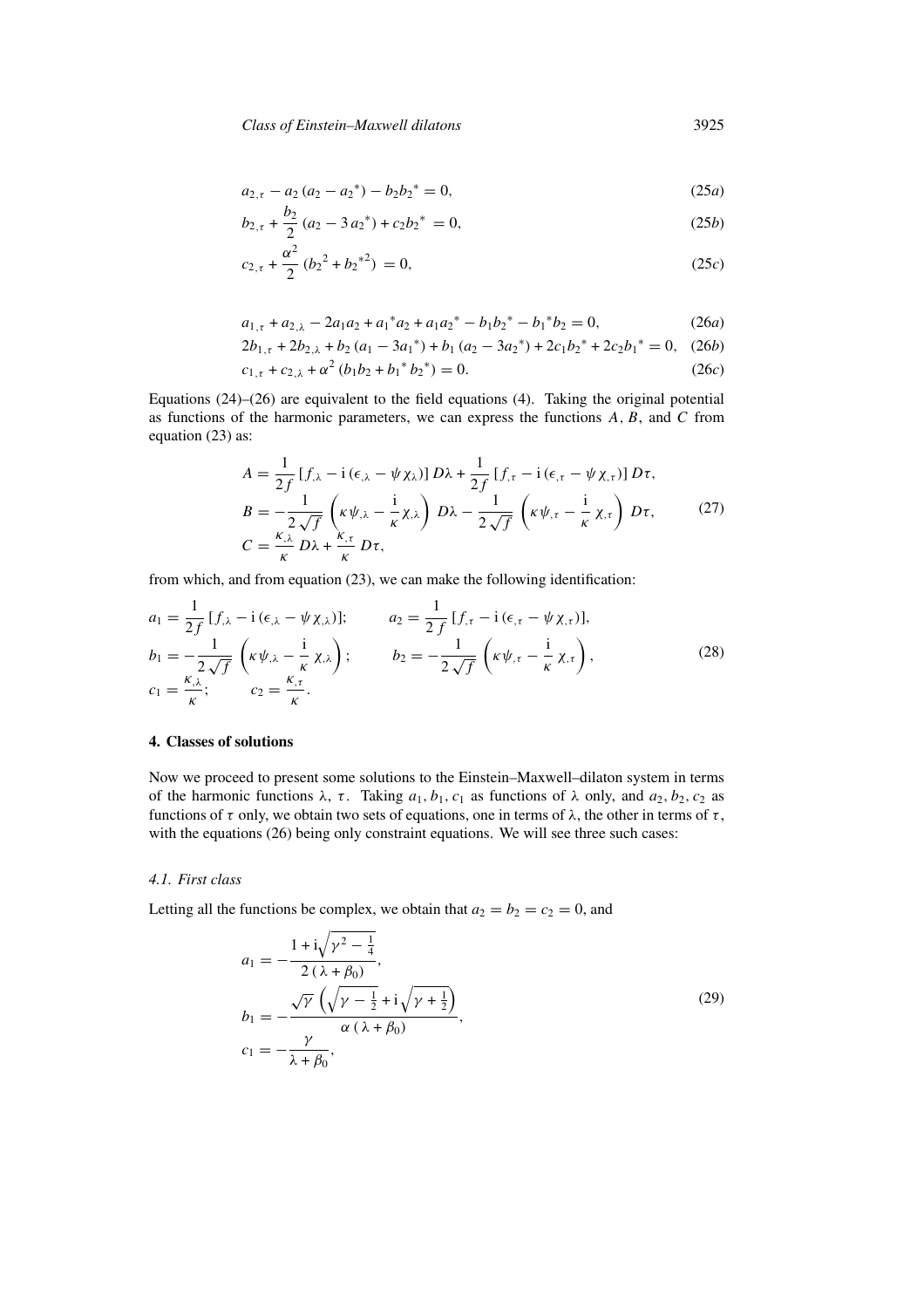$$
a_{2,\tau} - a_2 (a_2 - a_2^*) - b_2 b_2^* = 0, \tag{25a}
$$

$$
b_{2,\tau} + \frac{b_2}{2} (a_2 - 3 a_2^*) + c_2 b_2^* = 0,
$$
\n(25*b*)

$$
c_{2,\tau} + \frac{\alpha^2}{2} (b_2^2 + b_2^{*2}) = 0, \qquad (25c)
$$

$$
a_{1,\tau} + a_{2,\lambda} - 2a_1 a_2 + a_1^* a_2 + a_1 a_2^* - b_1 b_2^* - b_1^* b_2 = 0,
$$
 (26*a*)

$$
2b_{1,\tau} + 2b_{2,\lambda} + b_2(a_1 - 3a_1^*) + b_1(a_2 - 3a_2^*) + 2c_1b_2^* + 2c_2b_1^* = 0, (26b)
$$

$$
c_{1,\tau} + c_{2,\lambda} + \alpha^2 (b_1 b_2 + b_1^* b_2^*) = 0.
$$
 (26c)

Equations (24)–(26) are equivalent to the field equations (4). Taking the original potential as functions of the harmonic parameters, we can express the functions  $A$ ,  $B$ , and  $C$  from equation (23) as:

$$
A = \frac{1}{2f} [f_{,\lambda} - i(\epsilon_{,\lambda} - \psi \chi_{\lambda})] D\lambda + \frac{1}{2f} [f_{,\tau} - i(\epsilon_{,\tau} - \psi \chi_{,\tau})] D\tau,
$$
  
\n
$$
B = -\frac{1}{2\sqrt{f}} \left(\kappa \psi_{,\lambda} - \frac{i}{\kappa} \chi_{,\lambda}\right) D\lambda - \frac{1}{2\sqrt{f}} \left(\kappa \psi_{,\tau} - \frac{i}{\kappa} \chi_{,\tau}\right) D\tau,
$$
(27)  
\n
$$
C = \frac{\kappa_{,\lambda}}{\kappa} D\lambda + \frac{\kappa_{,\tau}}{\kappa} D\tau,
$$

from which, and from equation (23), we can make the following identification:

$$
a_1 = \frac{1}{2f} [f_{,\lambda} - i(\epsilon_{,\lambda} - \psi \chi_{,\lambda})]; \qquad a_2 = \frac{1}{2f} [f_{,\tau} - i(\epsilon_{,\tau} - \psi \chi_{,\tau})],
$$
  
\n
$$
b_1 = -\frac{1}{2\sqrt{f}} \left( \kappa \psi_{,\lambda} - \frac{i}{\kappa} \chi_{,\lambda} \right); \qquad b_2 = -\frac{1}{2\sqrt{f}} \left( \kappa \psi_{,\tau} - \frac{i}{\kappa} \chi_{,\tau} \right),
$$
  
\n
$$
c_1 = \frac{\kappa_{,\lambda}}{\kappa}; \qquad c_2 = \frac{\kappa_{,\tau}}{\kappa}.
$$
\n(28)

## **4. Classes of solutions**

Now we proceed to present some solutions to the Einstein–Maxwell–dilaton system in terms of the harmonic functions  $\lambda$ ,  $\tau$ . Taking  $a_1, b_1, c_1$  as functions of  $\lambda$  only, and  $a_2, b_2, c_2$  as functions of  $\tau$  only, we obtain two sets of equations, one in terms of  $\lambda$ , the other in terms of  $\tau$ , with the equations (26) being only constraint equations. We will see three such cases:

### *4.1. First class*

Letting all the functions be complex, we obtain that  $a_2 = b_2 = c_2 = 0$ , and

$$
a_1 = -\frac{1 + i\sqrt{\gamma^2 - \frac{1}{4}}}{2(\lambda + \beta_0)},
$$
  
\n
$$
b_1 = -\frac{\sqrt{\gamma} \left(\sqrt{\gamma - \frac{1}{2} + i\sqrt{\gamma + \frac{1}{2}}}\right)}{\alpha (\lambda + \beta_0)},
$$
  
\n
$$
c_1 = -\frac{\gamma}{\lambda + \beta_0},
$$
\n(29)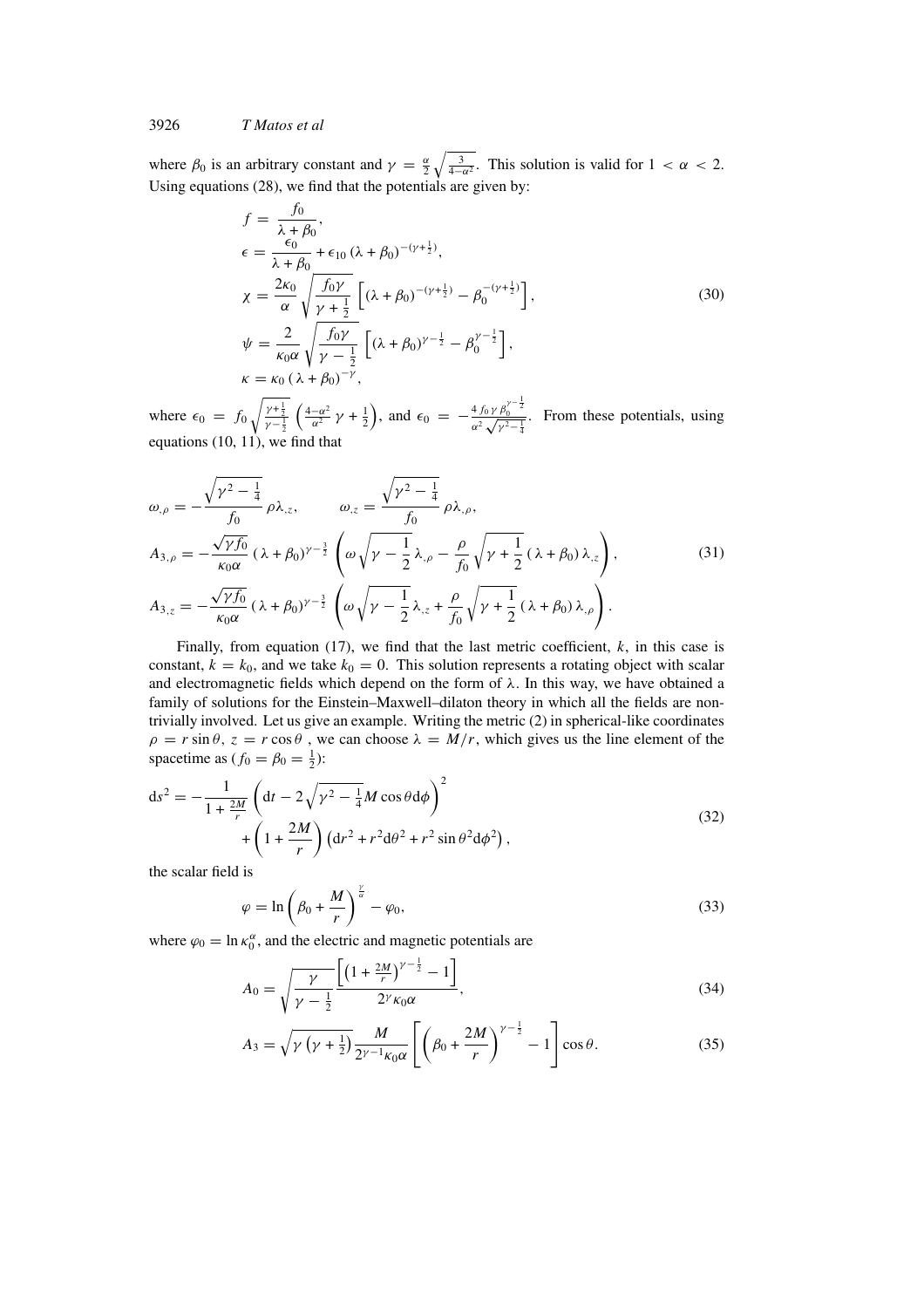where  $\beta_0$  is an arbitrary constant and  $\gamma = \frac{\alpha}{2} \sqrt{\frac{3}{4-\alpha^2}}$ . This solution is valid for  $1 < \alpha < 2$ . Using equations (28), we find that the potentials are given by:

$$
f = \frac{f_0}{\lambda + \beta_0},
$$
  
\n
$$
\epsilon = \frac{\epsilon_0}{\lambda + \beta_0} + \epsilon_{10} (\lambda + \beta_0)^{-(\gamma + \frac{1}{2})},
$$
  
\n
$$
\chi = \frac{2\kappa_0}{\alpha} \sqrt{\frac{f_0 \gamma}{\gamma + \frac{1}{2}}} \left[ (\lambda + \beta_0)^{-(\gamma + \frac{1}{2})} - \beta_0^{-(\gamma + \frac{1}{2})} \right],
$$
  
\n
$$
\psi = \frac{2}{\kappa_0 \alpha} \sqrt{\frac{f_0 \gamma}{\gamma - \frac{1}{2}}} \left[ (\lambda + \beta_0)^{\gamma - \frac{1}{2}} - \beta_0^{\gamma - \frac{1}{2}} \right],
$$
  
\n
$$
\kappa = \kappa_0 (\lambda + \beta_0)^{-\gamma},
$$
  
\n(30)

where  $\epsilon_0 = f_0 \sqrt{\frac{\gamma + \frac{1}{2}}{\gamma - \frac{1}{2}}}$  $\left(\frac{4-\alpha^2}{\alpha^2}\gamma+\frac{1}{2}\right)$ , and  $\epsilon_0 = -\frac{4f_0\gamma\beta_0^{\gamma-\frac{1}{2}}}{\alpha^2\sqrt{\gamma^2-1}}$  $rac{4 f_0 \gamma \beta_0}{\alpha^2 \sqrt{\gamma^2 - \frac{1}{4}}}$ . From these potentials, using equations (10, 11), we find that

$$
\omega_{,\rho} = -\frac{\sqrt{\gamma^2 - \frac{1}{4}}}{f_0} \rho \lambda_{,z}, \qquad \omega_{,z} = \frac{\sqrt{\gamma^2 - \frac{1}{4}}}{f_0} \rho \lambda_{,\rho},
$$
  
\n
$$
A_{3,\rho} = -\frac{\sqrt{\gamma f_0}}{\kappa_0 \alpha} (\lambda + \beta_0)^{\gamma - \frac{3}{2}} \left( \omega \sqrt{\gamma - \frac{1}{2}} \lambda_{,\rho} - \frac{\rho}{f_0} \sqrt{\gamma + \frac{1}{2}} (\lambda + \beta_0) \lambda_{,z} \right),
$$
  
\n
$$
A_{3,z} = -\frac{\sqrt{\gamma f_0}}{\kappa_0 \alpha} (\lambda + \beta_0)^{\gamma - \frac{3}{2}} \left( \omega \sqrt{\gamma - \frac{1}{2}} \lambda_{,z} + \frac{\rho}{f_0} \sqrt{\gamma + \frac{1}{2}} (\lambda + \beta_0) \lambda_{,\rho} \right).
$$
\n(31)

Finally, from equation (17), we find that the last metric coefficient,  $k$ , in this case is constant,  $k = k_0$ , and we take  $k_0 = 0$ . This solution represents a rotating object with scalar and electromagnetic fields which depend on the form of  $\lambda$ . In this way, we have obtained a family of solutions for the Einstein–Maxwell–dilaton theory in which all the fields are nontrivially involved. Let us give an example. Writing the metric (2) in spherical-like coordinates  $\rho = r \sin \theta$ ,  $z = r \cos \theta$ , we can choose  $\lambda = M/r$ , which gives us the line element of the spacetime as  $(f_0 = \beta_0 = \frac{1}{2})$ :

$$
ds^{2} = -\frac{1}{1 + \frac{2M}{r}} \left( dt - 2\sqrt{\gamma^{2} - \frac{1}{4}} M \cos \theta d\phi \right)^{2} + \left( 1 + \frac{2M}{r} \right) \left( dr^{2} + r^{2} d\theta^{2} + r^{2} \sin \theta^{2} d\phi^{2} \right),
$$
\n(32)

the scalar field is

$$
\varphi = \ln \left( \beta_0 + \frac{M}{r} \right)^{\frac{\gamma}{\alpha}} - \varphi_0,\tag{33}
$$

where  $\varphi_0 = \ln \kappa_0^{\alpha}$ , and the electric and magnetic potentials are

$$
A_0 = \sqrt{\frac{\gamma}{\gamma - \frac{1}{2}}} \frac{\left[ \left( 1 + \frac{2M}{r} \right)^{\gamma - \frac{1}{2}} - 1 \right]}{2^{\gamma} \kappa_0 \alpha},\tag{34}
$$

$$
A_3 = \sqrt{\gamma \left(\gamma + \frac{1}{2}\right)} \frac{M}{2^{\gamma - 1} \kappa_0 \alpha} \left[ \left(\beta_0 + \frac{2M}{r}\right)^{\gamma - \frac{1}{2}} - 1 \right] \cos \theta. \tag{35}
$$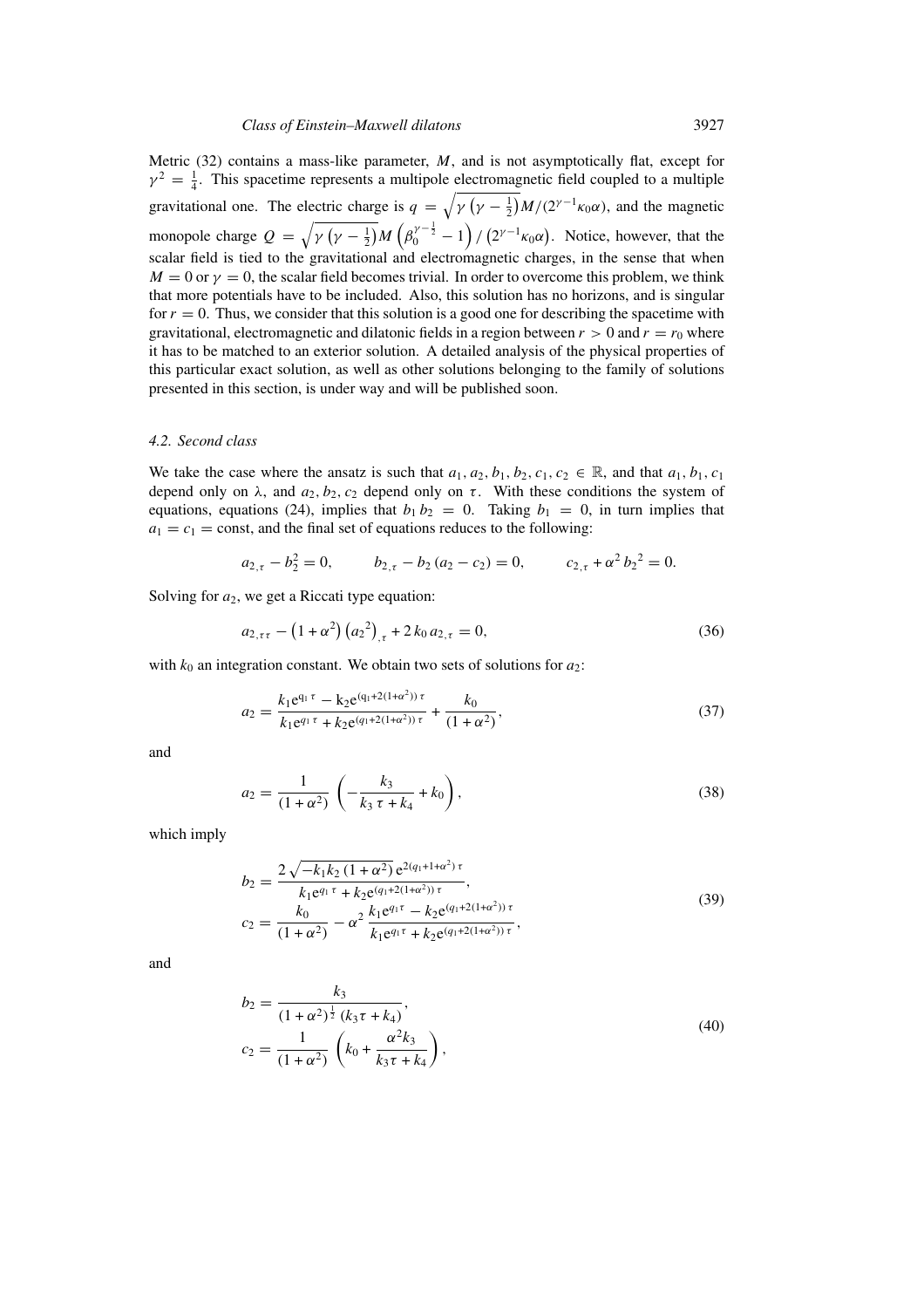Metric  $(32)$  contains a mass-like parameter, M, and is not asymptotically flat, except for  $\gamma^2 = \frac{1}{4}$ . This spacetime represents a multipole electromagnetic field coupled to a multiple gravitational one. The electric charge is  $q = \sqrt{\gamma (\gamma - \frac{1}{2})} M/(2^{\gamma - 1} \kappa_0 \alpha)$ , and the magnetic monopole charge  $Q = \sqrt{\gamma (\gamma - \frac{1}{2})} M (\beta_0^{\gamma - \frac{1}{2}} - 1)/ (2^{\gamma - 1} \kappa_0 \alpha)$ . Notice, however, that the scalar field is tied to the gravitational and electromagnetic charges, in the sense that when  $M = 0$  or  $\gamma = 0$ , the scalar field becomes trivial. In order to overcome this problem, we think that more potentials have to be included. Also, this solution has no horizons, and is singular for  $r = 0$ . Thus, we consider that this solution is a good one for describing the spacetime with gravitational, electromagnetic and dilatonic fields in a region between  $r > 0$  and  $r = r_0$  where it has to be matched to an exterior solution. A detailed analysis of the physical properties of this particular exact solution, as well as other solutions belonging to the family of solutions presented in this section, is under way and will be published soon.

#### *4.2. Second class*

We take the case where the ansatz is such that  $a_1, a_2, b_1, b_2, c_1, c_2 \in \mathbb{R}$ , and that  $a_1, b_1, c_1$ depend only on  $\lambda$ , and  $a_2, b_2, c_2$  depend only on  $\tau$ . With these conditions the system of equations, equations (24), implies that  $b_1 b_2 = 0$ . Taking  $b_1 = 0$ , in turn implies that  $a_1 = c_1$  = const, and the final set of equations reduces to the following:

$$
a_{2,\tau} - b_2^2 = 0, \qquad b_{2,\tau} - b_2 (a_2 - c_2) = 0, \qquad c_{2,\tau} + \alpha^2 b_2^2 = 0.
$$

Solving for  $a_2$ , we get a Riccati type equation:

$$
a_{2,\tau\tau} - (1 + \alpha^2) (a_2^2)_{,\tau} + 2 k_0 a_{2,\tau} = 0,
$$
\n(36)

with  $k_0$  an integration constant. We obtain two sets of solutions for  $a_2$ :

$$
a_2 = \frac{k_1 e^{q_1 \tau} - k_2 e^{(q_1 + 2(1 + \alpha^2)) \tau}}{k_1 e^{q_1 \tau} + k_2 e^{(q_1 + 2(1 + \alpha^2)) \tau}} + \frac{k_0}{(1 + \alpha^2)},
$$
\n(37)

and

$$
a_2 = \frac{1}{(1+\alpha^2)} \left( -\frac{k_3}{k_3 \tau + k_4} + k_0 \right),\tag{38}
$$

which imply

$$
b_2 = \frac{2\sqrt{-k_1k_2(1+\alpha^2)}e^{2(q_1+1+\alpha^2)\tau}}{k_1e^{q_1\tau} + k_2e^{(q_1+2(1+\alpha^2))\tau}},
$$
  
\n
$$
c_2 = \frac{k_0}{(1+\alpha^2)} - \alpha^2 \frac{k_1e^{q_1\tau} - k_2e^{(q_1+2(1+\alpha^2))\tau}}{k_1e^{q_1\tau} + k_2e^{(q_1+2(1+\alpha^2))\tau}},
$$
\n(39)

and

$$
b_2 = \frac{k_3}{(1 + \alpha^2)^{\frac{1}{2}} (k_3 \tau + k_4)},
$$
  
\n
$$
c_2 = \frac{1}{(1 + \alpha^2)} \left( k_0 + \frac{\alpha^2 k_3}{k_3 \tau + k_4} \right),
$$
\n(40)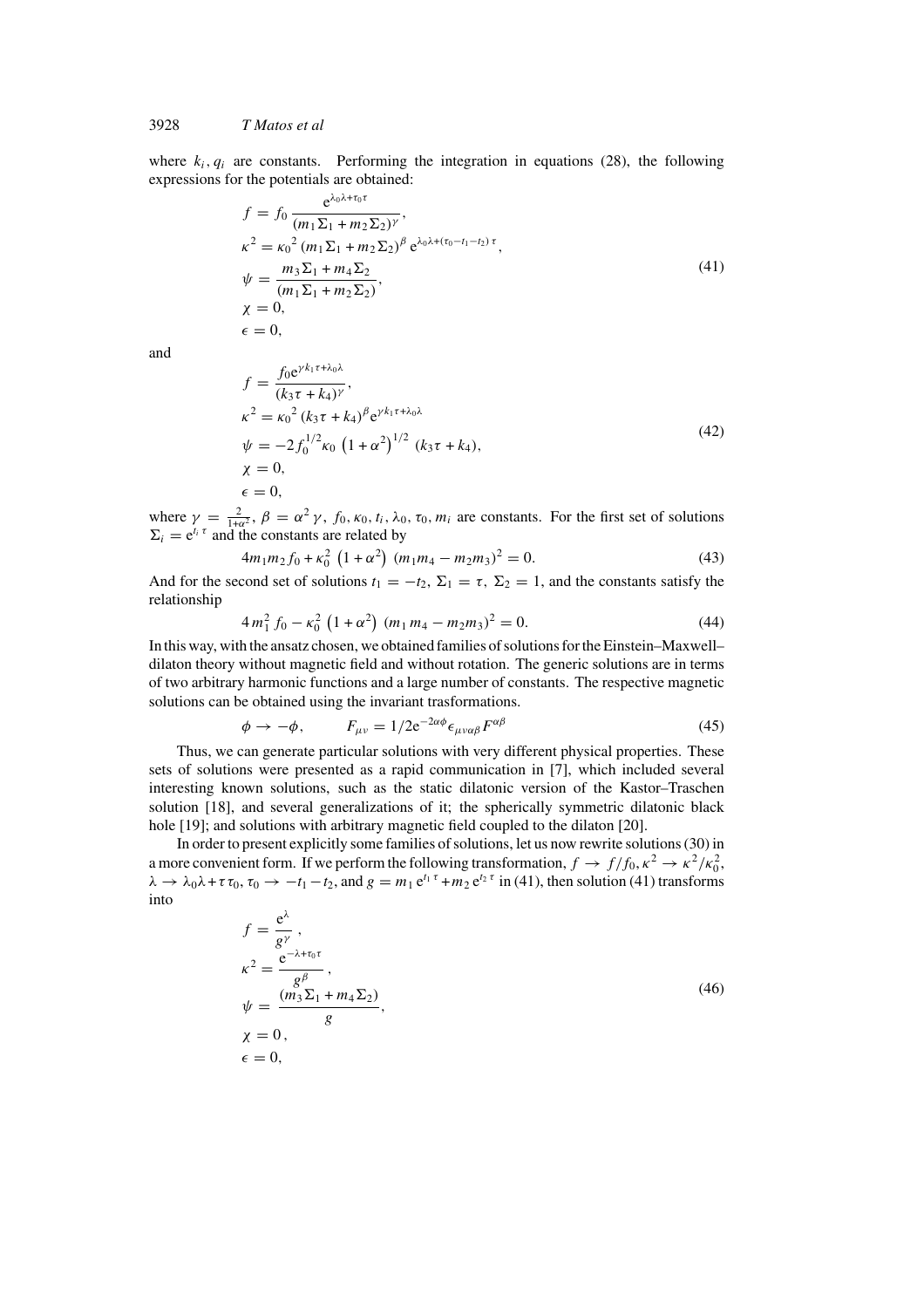where  $k_i$ ,  $q_i$  are constants. Performing the integration in equations (28), the following expressions for the potentials are obtained:

$$
f = f_0 \frac{e^{\lambda_0 \lambda + \tau_0 \tau}}{(m_1 \Sigma_1 + m_2 \Sigma_2)^\gamma},
$$
  
\n
$$
\kappa^2 = \kappa_0^2 (m_1 \Sigma_1 + m_2 \Sigma_2)^\beta e^{\lambda_0 \lambda + (\tau_0 - t_1 - t_2) \tau},
$$
  
\n
$$
\psi = \frac{m_3 \Sigma_1 + m_4 \Sigma_2}{(m_1 \Sigma_1 + m_2 \Sigma_2)},
$$
  
\n
$$
\chi = 0,
$$
  
\n
$$
\epsilon = 0,
$$
 (41)

and

$$
f = \frac{f_0 e^{\gamma k_1 \tau + \lambda_0 \lambda}}{(k_3 \tau + k_4)^\gamma},
$$
  
\n
$$
\kappa^2 = \kappa_0^2 (k_3 \tau + k_4)^\beta e^{\gamma k_1 \tau + \lambda_0 \lambda}
$$
  
\n
$$
\psi = -2 f_0^{1/2} \kappa_0 (1 + \alpha^2)^{1/2} (k_3 \tau + k_4),
$$
  
\n
$$
\chi = 0,
$$
  
\n
$$
\epsilon = 0,
$$
  
\n(42)

where  $\gamma = \frac{2}{1+\alpha^2}$ ,  $\beta = \alpha^2 \gamma$ ,  $f_0$ ,  $\kappa_0$ ,  $t_i$ ,  $\lambda_0$ ,  $\tau_0$ ,  $m_i$  are constants. For the first set of solutions  $\Sigma_i = e^{t_i \tau}$  and the constants are related by

$$
4m_1m_2f_0 + \kappa_0^2 \left(1 + \alpha^2\right) \left(m_1m_4 - m_2m_3\right)^2 = 0. \tag{43}
$$

And for the second set of solutions  $t_1 = -t_2$ ,  $\Sigma_1 = \tau$ ,  $\Sigma_2 = 1$ , and the constants satisfy the relationship

$$
4m_1^2 f_0 - \kappa_0^2 (1 + \alpha^2) (m_1 m_4 - m_2 m_3)^2 = 0.
$$
 (44)

In this way, with the ansatz chosen, we obtained families of solutions for the Einstein–Maxwell– dilaton theory without magnetic field and without rotation. The generic solutions are in terms of two arbitrary harmonic functions and a large number of constants. The respective magnetic solutions can be obtained using the invariant trasformations.

$$
\phi \to -\phi, \qquad F_{\mu\nu} = 1/2 e^{-2\alpha\phi} \epsilon_{\mu\nu\alpha\beta} F^{\alpha\beta} \tag{45}
$$

Thus, we can generate particular solutions with very different physical properties. These sets of solutions were presented as a rapid communication in [7], which included several interesting known solutions, such as the static dilatonic version of the Kastor–Traschen solution [18], and several generalizations of it; the spherically symmetric dilatonic black hole [19]; and solutions with arbitrary magnetic field coupled to the dilaton [20].

In order to present explicitly some families of solutions, let us now rewrite solutions (30) in a more convenient form. If we perform the following transformation,  $f \to f/f_0$ ,  $\kappa^2 \to \kappa^2/\kappa_0^2$ ,  $\lambda \to \lambda_0 \lambda + \tau \tau_0$ ,  $\tau_0 \to -t_1 - t_2$ , and  $g = m_1 e^{t_1 \tau} + m_2 e^{t_2 \tau}$  in (41), then solution (41) transforms into

$$
f = \frac{e^{\lambda}}{g^{\gamma}},
$$
  
\n
$$
\kappa^{2} = \frac{e^{-\lambda + \tau_{0}\tau}}{g^{\beta}},
$$
  
\n
$$
\psi = \frac{(m_{3}\Sigma_{1} + m_{4}\Sigma_{2})}{g},
$$
  
\n
$$
\chi = 0,
$$
  
\n
$$
\epsilon = 0,
$$
  
\n(46)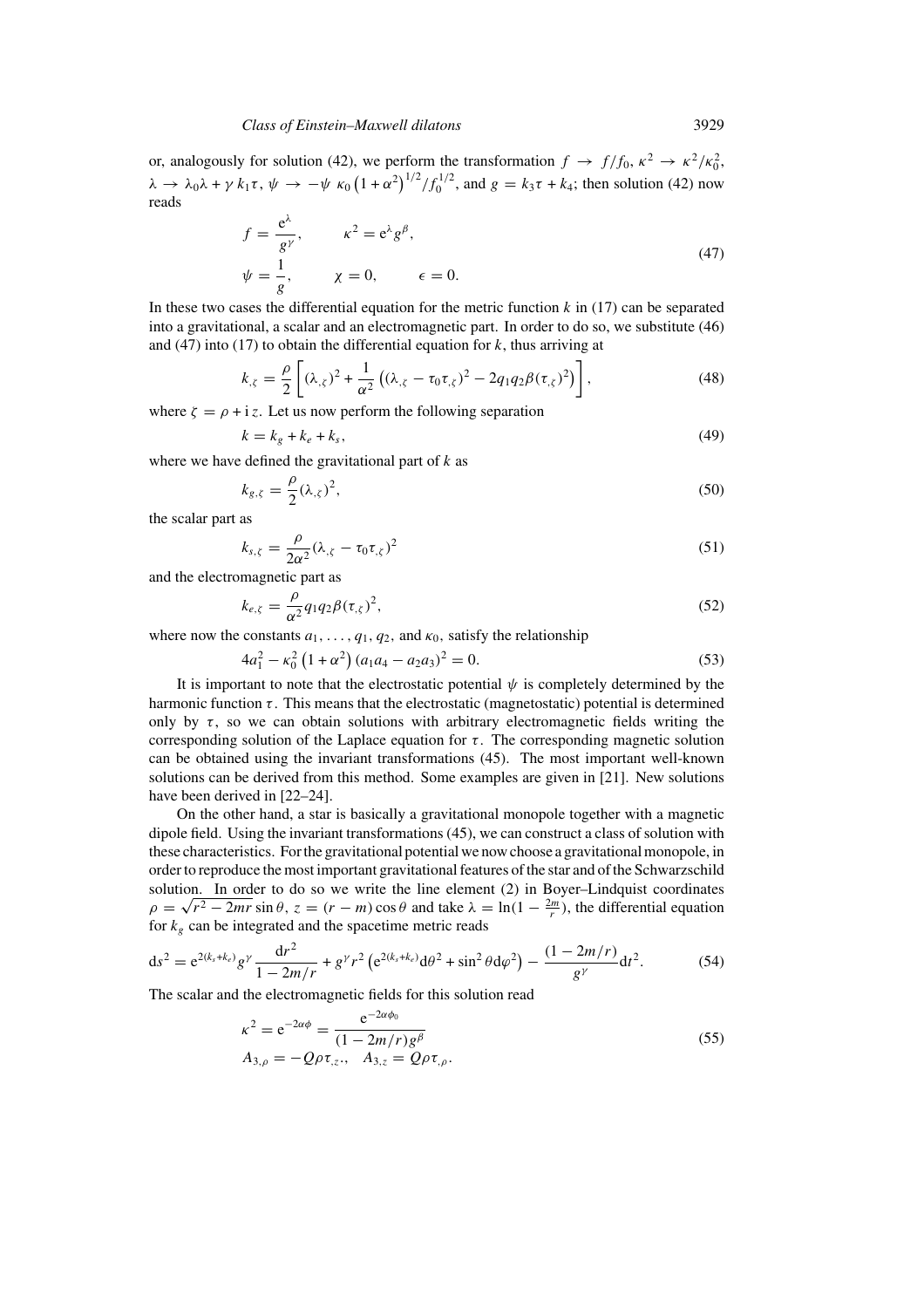or, analogously for solution (42), we perform the transformation  $f \to f/f_0$ ,  $\kappa^2 \to \kappa^2/\kappa_0^2$ ,  $\lambda \to \lambda_0 \lambda + \gamma k_1 \tau$ ,  $\psi \to -\psi \kappa_0 \left(1 + \alpha^2\right)^{1/2} / f_0^{1/2}$ , and  $g = k_3 \tau + k_4$ ; then solution (42) now reads

$$
f = \frac{e^{\lambda}}{g^{\gamma}}, \qquad \kappa^2 = e^{\lambda} g^{\beta},
$$
  
\n
$$
\psi = \frac{1}{g}, \qquad \chi = 0, \qquad \epsilon = 0.
$$
\n(47)

In these two cases the differential equation for the metric function  $k$  in (17) can be separated into a gravitational, a scalar and an electromagnetic part. In order to do so, we substitute (46) and (47) into (17) to obtain the differential equation for  $k$ , thus arriving at

$$
k_{,\zeta} = \frac{\rho}{2} \left[ (\lambda_{,\zeta})^2 + \frac{1}{\alpha^2} \left( (\lambda_{,\zeta} - \tau_0 \tau_{,\zeta})^2 - 2q_1 q_2 \beta(\tau_{,\zeta})^2 \right) \right],\tag{48}
$$

where  $\zeta = \rho + i z$ . Let us now perform the following separation

$$
k = k_g + k_e + k_s,\tag{49}
$$

where we have defined the gravitational part of  $k$  as

$$
k_{g,\zeta} = \frac{\rho}{2} (\lambda_{,\zeta})^2, \tag{50}
$$

the scalar part as

$$
k_{s,\zeta} = \frac{\rho}{2\alpha^2} (\lambda_{,\zeta} - \tau_0 \tau_{,\zeta})^2
$$
\n(51)

and the electromagnetic part as

$$
k_{e,\zeta} = \frac{\rho}{\alpha^2} q_1 q_2 \beta(\tau_{,\zeta})^2,\tag{52}
$$

where now the constants  $a_1, \ldots, a_1, a_2$ , and  $\kappa_0$ , satisfy the relationship

$$
4a_1^2 - \kappa_0^2 \left(1 + \alpha^2\right) \left(a_1 a_4 - a_2 a_3\right)^2 = 0. \tag{53}
$$

It is important to note that the electrostatic potential  $\psi$  is completely determined by the harmonic function  $\tau$ . This means that the electrostatic (magnetostatic) potential is determined only by  $\tau$ , so we can obtain solutions with arbitrary electromagnetic fields writing the corresponding solution of the Laplace equation for  $\tau$ . The corresponding magnetic solution can be obtained using the invariant transformations (45). The most important well-known solutions can be derived from this method. Some examples are given in [21]. New solutions have been derived in [22–24].

On the other hand, a star is basically a gravitational monopole together with a magnetic dipole field. Using the invariant transformations (45), we can construct a class of solution with these characteristics. For the gravitational potential we now choose a gravitational monopole, in order to reproduce the most important gravitational features of the star and of the Schwarzschild solution. In order to do so we write the line element (2) in Boyer–Lindquist coordinates solution. In order to do so we write the line element (2) in Boyer-Lindquist coordinates  $\rho = \sqrt{r^2 - 2mr} \sin \theta$ ,  $z = (r - m) \cos \theta$  and take  $\lambda = \ln(1 - \frac{2m}{r})$ , the differential equation for  $k_g$  can be integrated and the spacetime metric reads

$$
ds^{2} = e^{2(k_{s}+k_{e})}g^{\gamma}\frac{dr^{2}}{1-2m/r} + g^{\gamma}r^{2}\left(e^{2(k_{s}+k_{e})}d\theta^{2} + \sin^{2}\theta d\varphi^{2}\right) - \frac{(1-2m/r)}{g^{\gamma}}dt^{2}.
$$
 (54)

The scalar and the electromagnetic fields for this solution read

$$
\kappa^2 = e^{-2\alpha\phi} = \frac{e^{-2\alpha\phi_0}}{(1 - 2m/r)g^{\beta}}
$$
  
\n
$$
A_{3,\rho} = -Q\rho\tau_{,z}, \quad A_{3,z} = Q\rho\tau_{,\rho}.
$$
\n(55)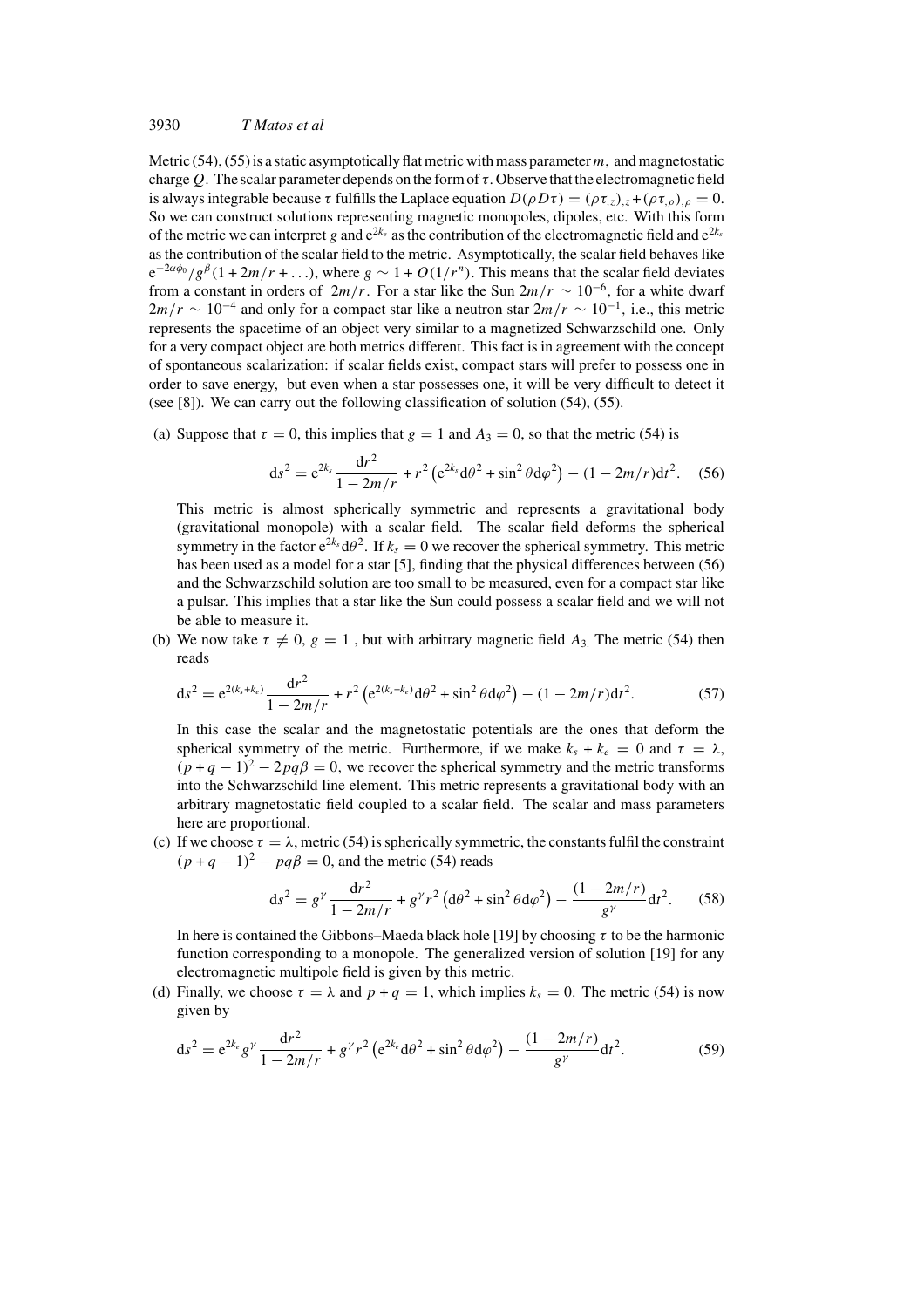Metric (54), (55) is a static asymptotically flat metric with mass parameter  $m$ , and magnetostatic charge Q. The scalar parameter depends on the form of  $\tau$ . Observe that the electromagnetic field is always integrable because  $\tau$  fulfills the Laplace equation  $D(\rho D\tau) = (\rho \tau_z)_z + (\rho \tau_z)_0 = 0$ . So we can construct solutions representing magnetic monopoles, dipoles, etc. With this form of the metric we can interpret g and  $e^{2k_e}$  as the contribution of the electromagnetic field and  $e^{2k_s}$ as the contribution of the scalar field to the metric. Asymptotically, the scalar field behaves like  $e^{-2\alpha\phi_0}/g^{\beta}(1+2m/r+\ldots)$ , where  $g \sim 1+O(1/r^n)$ . This means that the scalar field deviates from a constant in orders of  $2m/r$ . For a star like the Sun  $2m/r \sim 10^{-6}$ , for a white dwarf  $2m/r \sim 10^{-4}$  and only for a compact star like a neutron star  $2m/r \sim 10^{-1}$ , i.e., this metric represents the spacetime of an object very similar to a magnetized Schwarzschild one. Only for a very compact object are both metrics different. This fact is in agreement with the concept of spontaneous scalarization: if scalar fields exist, compact stars will prefer to possess one in order to save energy, but even when a star possesses one, it will be very difficult to detect it (see [8]). We can carry out the following classification of solution (54), (55).

(a) Suppose that  $\tau = 0$ , this implies that  $g = 1$  and  $A_3 = 0$ , so that the metric (54) is

$$
ds^{2} = e^{2k_{s}} \frac{dr^{2}}{1 - 2m/r} + r^{2} (e^{2k_{s}} d\theta^{2} + \sin^{2} \theta d\varphi^{2}) - (1 - 2m/r) dt^{2}.
$$
 (56)

This metric is almost spherically symmetric and represents a gravitational body (gravitational monopole) with a scalar field. The scalar field deforms the spherical symmetry in the factor  $e^{2k_s} d\theta^2$ . If  $k_s = 0$  we recover the spherical symmetry. This metric has been used as a model for a star [5], finding that the physical differences between (56) and the Schwarzschild solution are too small to be measured, even for a compact star like a pulsar. This implies that a star like the Sun could possess a scalar field and we will not be able to measure it.

(b) We now take  $\tau \neq 0$ ,  $g = 1$ , but with arbitrary magnetic field  $A_3$ . The metric (54) then reads

$$
ds^{2} = e^{2(k_{s}+k_{e})} \frac{dr^{2}}{1-2m/r} + r^{2} \left( e^{2(k_{s}+k_{e})} d\theta^{2} + \sin^{2} \theta d\varphi^{2} \right) - (1-2m/r) dt^{2}.
$$
 (57)

In this case the scalar and the magnetostatic potentials are the ones that deform the spherical symmetry of the metric. Furthermore, if we make  $k_s + k_e = 0$  and  $\tau = \lambda$ ,  $(p+q-1)^2 - 2pq\beta = 0$ , we recover the spherical symmetry and the metric transforms into the Schwarzschild line element. This metric represents a gravitational body with an arbitrary magnetostatic field coupled to a scalar field. The scalar and mass parameters here are proportional.

(c) If we choose  $\tau = \lambda$ , metric (54) is spherically symmetric, the constants fulfil the constraint  $(p+q-1)^2 - pq\beta = 0$ , and the metric (54) reads

$$
ds^{2} = g^{\gamma} \frac{dr^{2}}{1 - 2m/r} + g^{\gamma} r^{2} \left( d\theta^{2} + \sin^{2} \theta d\varphi^{2} \right) - \frac{(1 - 2m/r)}{g^{\gamma}} dt^{2}.
$$
 (58)

In here is contained the Gibbons–Maeda black hole [19] by choosing  $\tau$  to be the harmonic function corresponding to a monopole. The generalized version of solution [19] for any electromagnetic multipole field is given by this metric.

(d) Finally, we choose  $\tau = \lambda$  and  $p + q = 1$ , which implies  $k_s = 0$ . The metric (54) is now given by

$$
ds^{2} = e^{2k_{e}}g^{\gamma} \frac{dr^{2}}{1 - 2m/r} + g^{\gamma}r^{2} \left(e^{2k_{e}}d\theta^{2} + \sin^{2}\theta d\varphi^{2}\right) - \frac{(1 - 2m/r)}{g^{\gamma}}dt^{2}.
$$
 (59)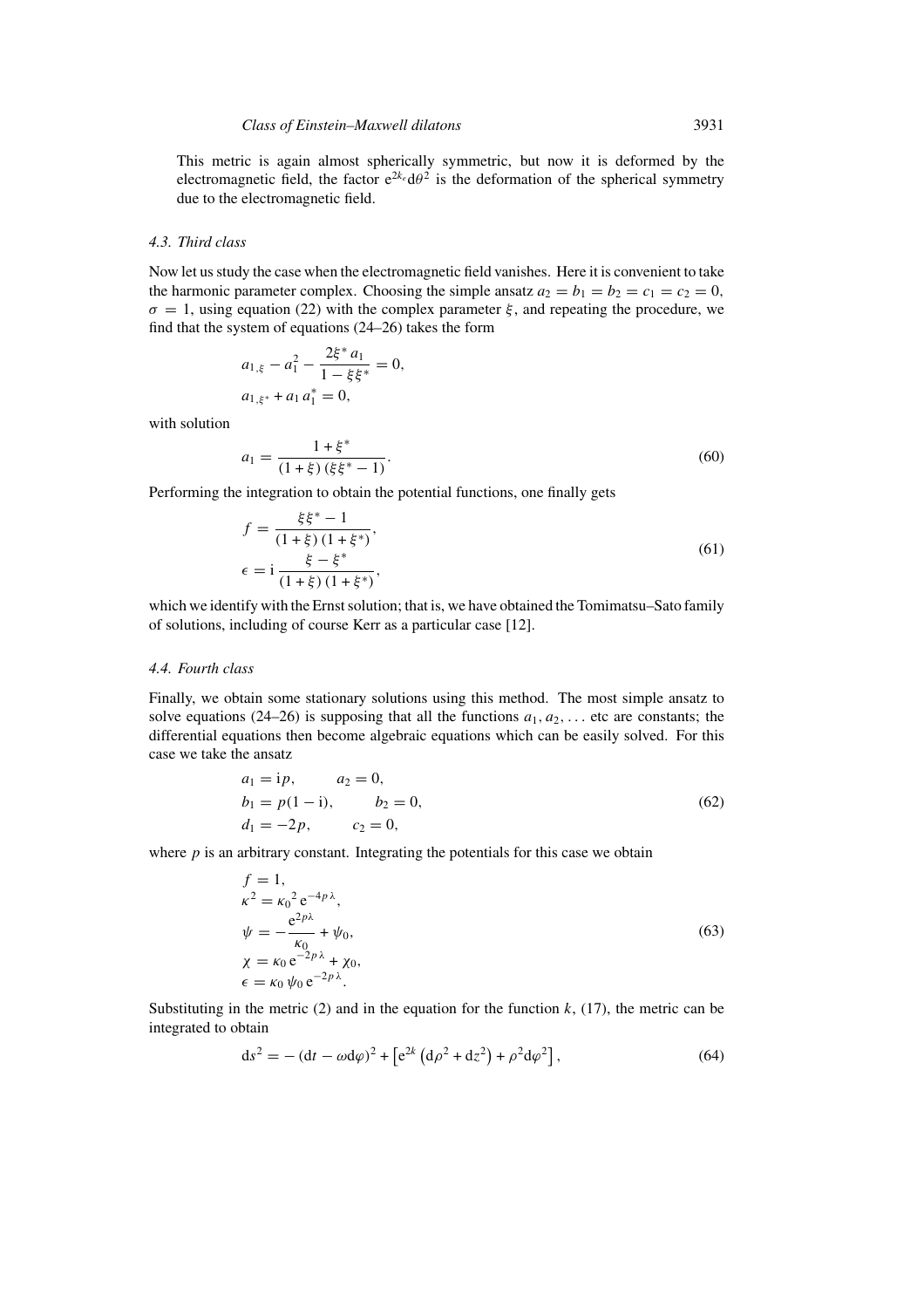This metric is again almost spherically symmetric, but now it is deformed by the electromagnetic field, the factor  $e^{2k_e} d\theta^2$  is the deformation of the spherical symmetry due to the electromagnetic field.

#### *4.3. Third class*

Now let us study the case when the electromagnetic field vanishes. Here it is convenient to take the harmonic parameter complex. Choosing the simple ansatz  $a_2 = b_1 = b_2 = c_1 = c_2 = 0$ ,  $\sigma = 1$ , using equation (22) with the complex parameter  $\xi$ , and repeating the procedure, we find that the system of equations (24–26) takes the form

$$
a_{1,\xi} - a_1^2 - \frac{2\xi^* a_1}{1 - \xi \xi^*} = 0,
$$
  

$$
a_{1,\xi^*} + a_1 a_1^* = 0,
$$

with solution

$$
a_1 = \frac{1 + \xi^*}{(1 + \xi)(\xi\xi^* - 1)}.\tag{60}
$$

Performing the integration to obtain the potential functions, one finally gets

$$
f = \frac{\xi \xi^* - 1}{(1 + \xi)(1 + \xi^*)},
$$
  
\n
$$
\epsilon = i \frac{\xi - \xi^*}{(1 + \xi)(1 + \xi^*)},
$$
\n(61)

which we identify with the Ernst solution; that is, we have obtained the Tomimatsu–Sato family of solutions, including of course Kerr as a particular case [12].

## *4.4. Fourth class*

Finally, we obtain some stationary solutions using this method. The most simple ansatz to solve equations (24–26) is supposing that all the functions  $a_1, a_2, \ldots$  etc are constants; the differential equations then become algebraic equations which can be easily solved. For this case we take the ansatz

$$
a_1 = ip, \t a_2 = 0,b_1 = p(1 - i), \t b_2 = 0,d_1 = -2p, \t c_2 = 0,
$$
\t(62)

where  $p$  is an arbitrary constant. Integrating the potentials for this case we obtain

$$
f = 1,
$$
  
\n
$$
\kappa^2 = {\kappa_0}^2 e^{-4p\lambda},
$$
  
\n
$$
\psi = -\frac{e^{2p\lambda}}{\kappa_0} + \psi_0,
$$
  
\n
$$
\chi = \kappa_0 e^{-2p\lambda} + \chi_0,
$$
  
\n
$$
\epsilon = \kappa_0 \psi_0 e^{-2p\lambda}.
$$
\n(63)

Substituting in the metric (2) and in the equation for the function  $k$ , (17), the metric can be integrated to obtain

$$
ds^{2} = - (dt - \omega d\varphi)^{2} + [e^{2k} (d\rho^{2} + dz^{2}) + \rho^{2} d\varphi^{2}],
$$
\n(64)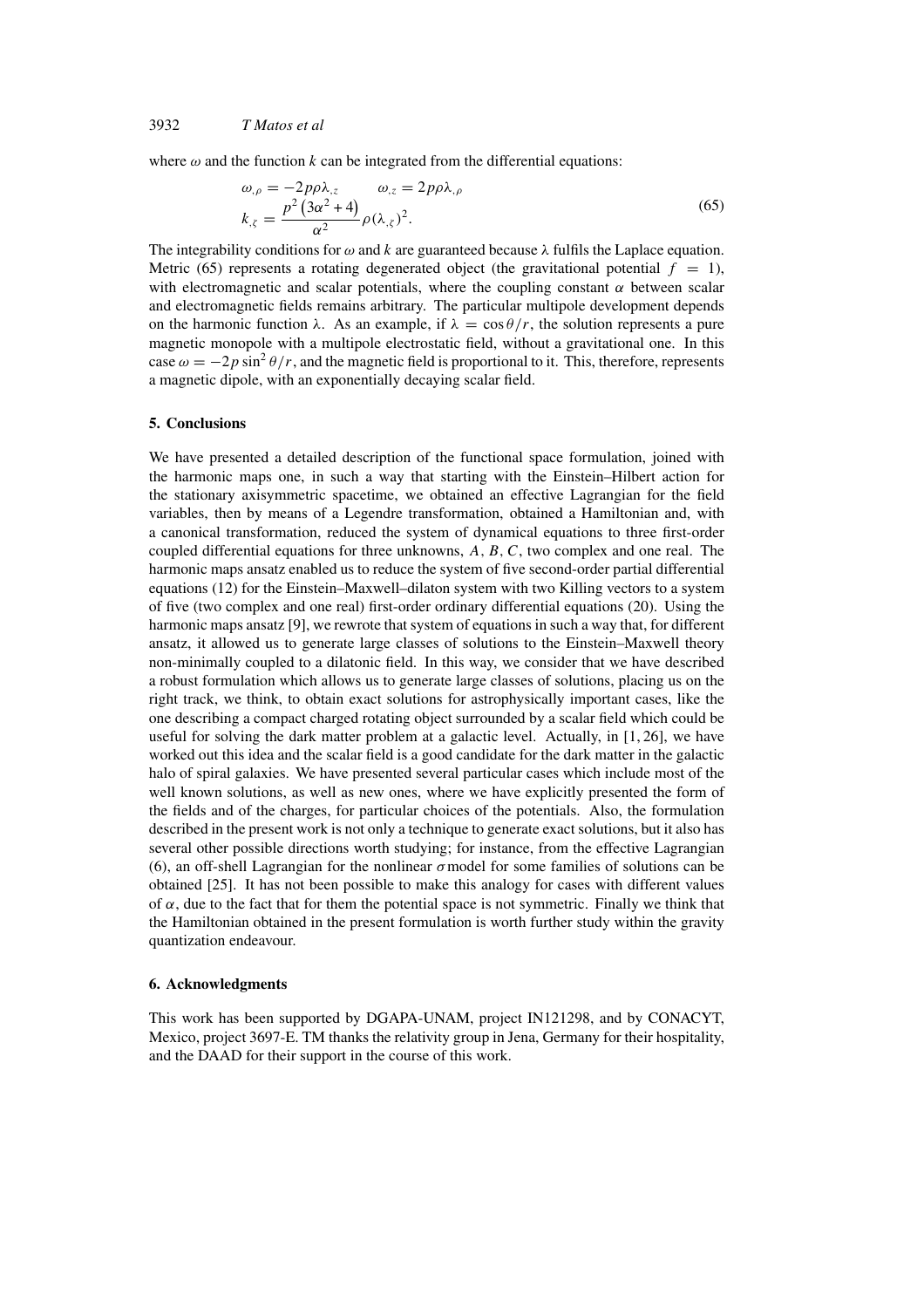where  $\omega$  and the function k can be integrated from the differential equations:

$$
\omega_{,\rho} = -2p\rho\lambda_{,z} \qquad \omega_{,z} = 2p\rho\lambda_{,\rho}
$$
  
\n
$$
k_{,\zeta} = \frac{p^2(3\alpha^2 + 4)}{\alpha^2} \rho(\lambda_{,\zeta})^2.
$$
\n(65)

The integrability conditions for  $\omega$  and k are guaranteed because  $\lambda$  fulfils the Laplace equation. Metric (65) represents a rotating degenerated object (the gravitational potential  $f = 1$ ), with electromagnetic and scalar potentials, where the coupling constant  $\alpha$  between scalar and electromagnetic fields remains arbitrary. The particular multipole development depends on the harmonic function  $\lambda$ . As an example, if  $\lambda = \cos \theta / r$ , the solution represents a pure magnetic monopole with a multipole electrostatic field, without a gravitational one. In this case  $\omega = -2p \sin^2 \theta / r$ , and the magnetic field is proportional to it. This, therefore, represents a magnetic dipole, with an exponentially decaying scalar field.

#### **5. Conclusions**

We have presented a detailed description of the functional space formulation, joined with the harmonic maps one, in such a way that starting with the Einstein–Hilbert action for the stationary axisymmetric spacetime, we obtained an effective Lagrangian for the field variables, then by means of a Legendre transformation, obtained a Hamiltonian and, with a canonical transformation, reduced the system of dynamical equations to three first-order coupled differential equations for three unknowns,  $A, B, C$ , two complex and one real. The harmonic maps ansatz enabled us to reduce the system of five second-order partial differential equations (12) for the Einstein–Maxwell–dilaton system with two Killing vectors to a system of five (two complex and one real) first-order ordinary differential equations (20). Using the harmonic maps ansatz [9], we rewrote that system of equations in such a way that, for different ansatz, it allowed us to generate large classes of solutions to the Einstein–Maxwell theory non-minimally coupled to a dilatonic field. In this way, we consider that we have described a robust formulation which allows us to generate large classes of solutions, placing us on the right track, we think, to obtain exact solutions for astrophysically important cases, like the one describing a compact charged rotating object surrounded by a scalar field which could be useful for solving the dark matter problem at a galactic level. Actually, in [1, 26], we have worked out this idea and the scalar field is a good candidate for the dark matter in the galactic halo of spiral galaxies. We have presented several particular cases which include most of the well known solutions, as well as new ones, where we have explicitly presented the form of the fields and of the charges, for particular choices of the potentials. Also, the formulation described in the present work is not only a technique to generate exact solutions, but it also has several other possible directions worth studying; for instance, from the effective Lagrangian (6), an off-shell Lagrangian for the nonlinear  $\sigma$  model for some families of solutions can be obtained [25]. It has not been possible to make this analogy for cases with different values of  $\alpha$ , due to the fact that for them the potential space is not symmetric. Finally we think that the Hamiltonian obtained in the present formulation is worth further study within the gravity quantization endeavour.

#### **6. Acknowledgments**

This work has been supported by DGAPA-UNAM, project IN121298, and by CONACYT, Mexico, project 3697-E. TM thanks the relativity group in Jena, Germany for their hospitality, and the DAAD for their support in the course of this work.